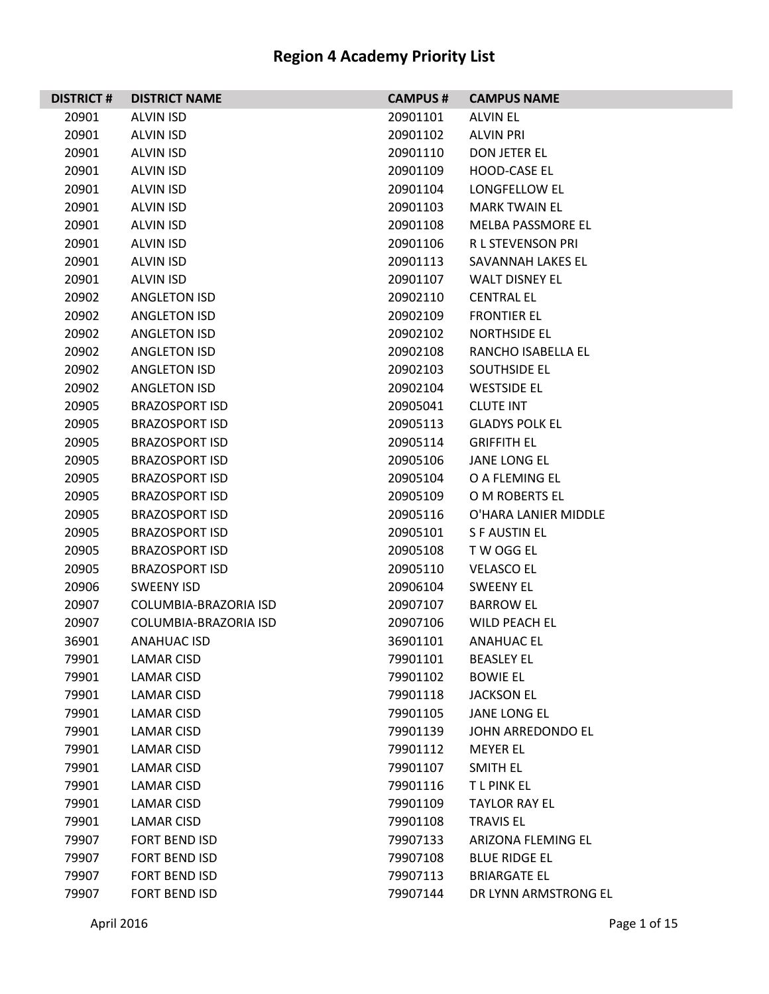| <b>DISTRICT#</b> | <b>DISTRICT NAME</b>  | <b>CAMPUS#</b> | <b>CAMPUS NAME</b>    |
|------------------|-----------------------|----------------|-----------------------|
| 20901            | <b>ALVIN ISD</b>      | 20901101       | <b>ALVIN EL</b>       |
| 20901            | <b>ALVIN ISD</b>      | 20901102       | <b>ALVIN PRI</b>      |
| 20901            | <b>ALVIN ISD</b>      | 20901110       | DON JETER EL          |
| 20901            | <b>ALVIN ISD</b>      | 20901109       | HOOD-CASE EL          |
| 20901            | <b>ALVIN ISD</b>      | 20901104       | LONGFELLOW EL         |
| 20901            | ALVIN ISD             | 20901103       | <b>MARK TWAIN EL</b>  |
| 20901            | <b>ALVIN ISD</b>      | 20901108       | MELBA PASSMORE EL     |
| 20901            | <b>ALVIN ISD</b>      | 20901106       | R L STEVENSON PRI     |
| 20901            | ALVIN ISD             | 20901113       | SAVANNAH LAKES EL     |
| 20901            | ALVIN ISD             | 20901107       | <b>WALT DISNEY EL</b> |
| 20902            | ANGLETON ISD          | 20902110       | <b>CENTRAL EL</b>     |
| 20902            | <b>ANGLETON ISD</b>   | 20902109       | <b>FRONTIER EL</b>    |
| 20902            | ANGLETON ISD          | 20902102       | NORTHSIDE EL          |
| 20902            | ANGLETON ISD          | 20902108       | RANCHO ISABELLA EL    |
| 20902            | <b>ANGLETON ISD</b>   | 20902103       | SOUTHSIDE EL          |
| 20902            | ANGLETON ISD          | 20902104       | <b>WESTSIDE EL</b>    |
| 20905            | <b>BRAZOSPORT ISD</b> | 20905041       | <b>CLUTE INT</b>      |
| 20905            | <b>BRAZOSPORT ISD</b> | 20905113       | <b>GLADYS POLK EL</b> |
| 20905            | <b>BRAZOSPORT ISD</b> | 20905114       | <b>GRIFFITH EL</b>    |
| 20905            | <b>BRAZOSPORT ISD</b> | 20905106       | <b>JANE LONG EL</b>   |
| 20905            | <b>BRAZOSPORT ISD</b> | 20905104       | O A FLEMING EL        |
| 20905            | <b>BRAZOSPORT ISD</b> | 20905109       | O M ROBERTS EL        |
| 20905            | <b>BRAZOSPORT ISD</b> | 20905116       | O'HARA LANIER MIDDLE  |
| 20905            | <b>BRAZOSPORT ISD</b> | 20905101       | <b>SFAUSTINEL</b>     |
| 20905            | <b>BRAZOSPORT ISD</b> | 20905108       | T W OGG EL            |
| 20905            | <b>BRAZOSPORT ISD</b> | 20905110       | <b>VELASCO EL</b>     |
| 20906            | <b>SWEENY ISD</b>     | 20906104       | <b>SWEENY EL</b>      |
| 20907            | COLUMBIA-BRAZORIA ISD | 20907107       | <b>BARROW EL</b>      |
| 20907            | COLUMBIA-BRAZORIA ISD | 20907106       | <b>WILD PEACH EL</b>  |
| 36901            | ANAHUAC ISD           | 36901101       | <b>ANAHUAC EL</b>     |
| 79901            | LAMAR CISD            | 79901101       | <b>BEASLEY EL</b>     |
| 79901            | LAMAR CISD            | 79901102       | <b>BOWIE EL</b>       |
| 79901            | LAMAR CISD            | 79901118       | <b>JACKSON EL</b>     |
| 79901            | LAMAR CISD            | 79901105       | <b>JANE LONG EL</b>   |
| 79901            | <b>LAMAR CISD</b>     | 79901139       | JOHN ARREDONDO EL     |
| 79901            | LAMAR CISD            | 79901112       | <b>MEYER EL</b>       |
| 79901            | LAMAR CISD            | 79901107       | SMITH EL              |
| 79901            | LAMAR CISD            | 79901116       | <b>TLPINKEL</b>       |
| 79901            | LAMAR CISD            | 79901109       | <b>TAYLOR RAY EL</b>  |
| 79901            | <b>LAMAR CISD</b>     | 79901108       | <b>TRAVIS EL</b>      |
| 79907            | <b>FORT BEND ISD</b>  | 79907133       | ARIZONA FLEMING EL    |
| 79907            | <b>FORT BEND ISD</b>  | 79907108       | <b>BLUE RIDGE EL</b>  |
| 79907            | <b>FORT BEND ISD</b>  | 79907113       | <b>BRIARGATE EL</b>   |
| 79907            | <b>FORT BEND ISD</b>  | 79907144       | DR LYNN ARMSTRONG EL  |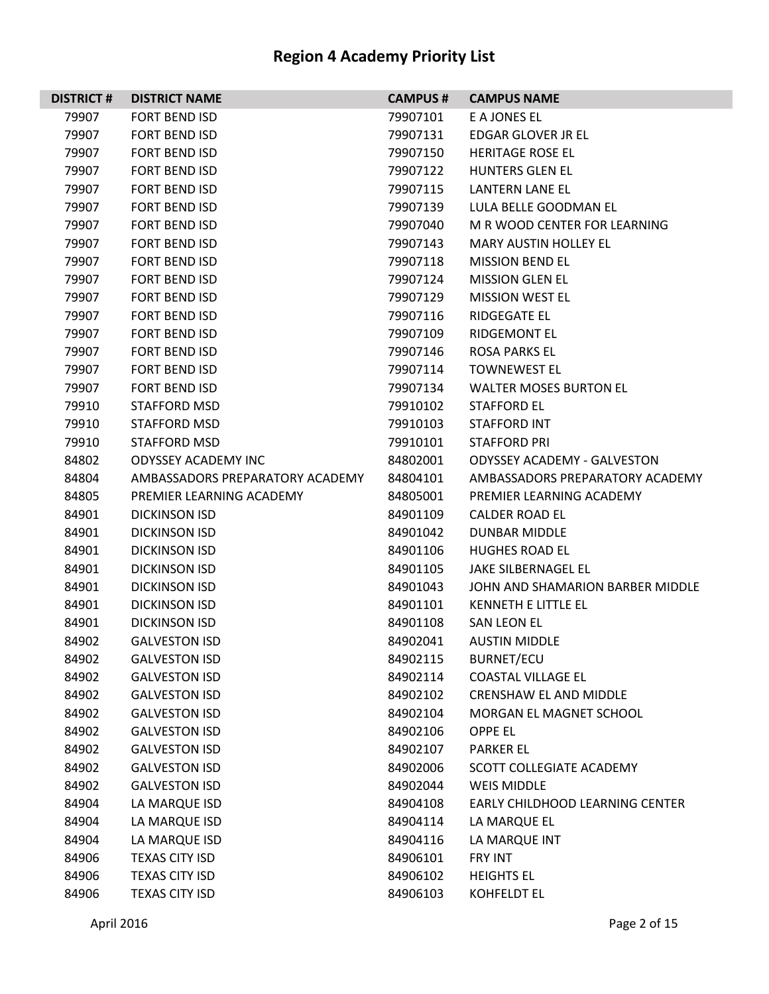| <b>DISTRICT#</b> | <b>DISTRICT NAME</b>            | <b>CAMPUS#</b> | <b>CAMPUS NAME</b>                 |
|------------------|---------------------------------|----------------|------------------------------------|
| 79907            | <b>FORT BEND ISD</b>            | 79907101       | E A JONES EL                       |
| 79907            | FORT BEND ISD                   | 79907131       | EDGAR GLOVER JR EL                 |
| 79907            | <b>FORT BEND ISD</b>            | 79907150       | <b>HERITAGE ROSE EL</b>            |
| 79907            | <b>FORT BEND ISD</b>            | 79907122       | <b>HUNTERS GLEN EL</b>             |
| 79907            | <b>FORT BEND ISD</b>            | 79907115       | LANTERN LANE EL                    |
| 79907            | <b>FORT BEND ISD</b>            | 79907139       | LULA BELLE GOODMAN EL              |
| 79907            | <b>FORT BEND ISD</b>            | 79907040       | M R WOOD CENTER FOR LEARNING       |
| 79907            | <b>FORT BEND ISD</b>            | 79907143       | <b>MARY AUSTIN HOLLEY EL</b>       |
| 79907            | <b>FORT BEND ISD</b>            | 79907118       | <b>MISSION BEND FL</b>             |
| 79907            | <b>FORT BEND ISD</b>            | 79907124       | <b>MISSION GLEN EL</b>             |
| 79907            | FORT BEND ISD                   | 79907129       | <b>MISSION WEST EL</b>             |
| 79907            | <b>FORT BEND ISD</b>            | 79907116       | <b>RIDGEGATE EL</b>                |
| 79907            | <b>FORT BEND ISD</b>            | 79907109       | <b>RIDGEMONT EL</b>                |
| 79907            | <b>FORT BEND ISD</b>            | 79907146       | <b>ROSA PARKS EL</b>               |
| 79907            | <b>FORT BEND ISD</b>            | 79907114       | <b>TOWNEWEST EL</b>                |
| 79907            | FORT BEND ISD                   | 79907134       | <b>WALTER MOSES BURTON EL</b>      |
| 79910            | STAFFORD MSD                    | 79910102       | STAFFORD EL                        |
| 79910            | STAFFORD MSD                    | 79910103       | <b>STAFFORD INT</b>                |
| 79910            | STAFFORD MSD                    | 79910101       | <b>STAFFORD PRI</b>                |
| 84802            | <b>ODYSSEY ACADEMY INC</b>      | 84802001       | <b>ODYSSEY ACADEMY - GALVESTON</b> |
| 84804            | AMBASSADORS PREPARATORY ACADEMY | 84804101       | AMBASSADORS PREPARATORY ACADEMY    |
| 84805            | PREMIER LEARNING ACADEMY        | 84805001       | PREMIER LEARNING ACADEMY           |
| 84901            | <b>DICKINSON ISD</b>            | 84901109       | <b>CALDER ROAD EL</b>              |
| 84901            | <b>DICKINSON ISD</b>            | 84901042       | <b>DUNBAR MIDDLE</b>               |
| 84901            | <b>DICKINSON ISD</b>            | 84901106       | <b>HUGHES ROAD EL</b>              |
| 84901            | <b>DICKINSON ISD</b>            | 84901105       | <b>JAKE SILBERNAGEL EL</b>         |
| 84901            | <b>DICKINSON ISD</b>            | 84901043       | JOHN AND SHAMARION BARBER MIDDLE   |
| 84901            | <b>DICKINSON ISD</b>            | 84901101       | KENNETH E LITTLE EL                |
| 84901            | <b>DICKINSON ISD</b>            | 84901108       | SAN LEON EL                        |
| 84902            | <b>GALVESTON ISD</b>            | 84902041       | <b>AUSTIN MIDDLE</b>               |
| 84902            | <b>GALVESTON ISD</b>            | 84902115       | <b>BURNET/ECU</b>                  |
| 84902            | <b>GALVESTON ISD</b>            | 84902114       | <b>COASTAL VILLAGE EL</b>          |
| 84902            | <b>GALVESTON ISD</b>            | 84902102       | <b>CRENSHAW EL AND MIDDLE</b>      |
| 84902            | <b>GALVESTON ISD</b>            | 84902104       | MORGAN EL MAGNET SCHOOL            |
| 84902            | <b>GALVESTON ISD</b>            | 84902106       | <b>OPPE EL</b>                     |
| 84902            | <b>GALVESTON ISD</b>            | 84902107       | <b>PARKER EL</b>                   |
| 84902            | <b>GALVESTON ISD</b>            | 84902006       | SCOTT COLLEGIATE ACADEMY           |
| 84902            | <b>GALVESTON ISD</b>            | 84902044       | <b>WEIS MIDDLE</b>                 |
| 84904            | LA MARQUE ISD                   | 84904108       | EARLY CHILDHOOD LEARNING CENTER    |
| 84904            | LA MARQUE ISD                   | 84904114       | LA MARQUE EL                       |
| 84904            | LA MARQUE ISD                   | 84904116       | LA MARQUE INT                      |
| 84906            | <b>TEXAS CITY ISD</b>           | 84906101       | <b>FRY INT</b>                     |
| 84906            | <b>TEXAS CITY ISD</b>           | 84906102       | <b>HEIGHTS EL</b>                  |
| 84906            | <b>TEXAS CITY ISD</b>           | 84906103       | KOHFELDT EL                        |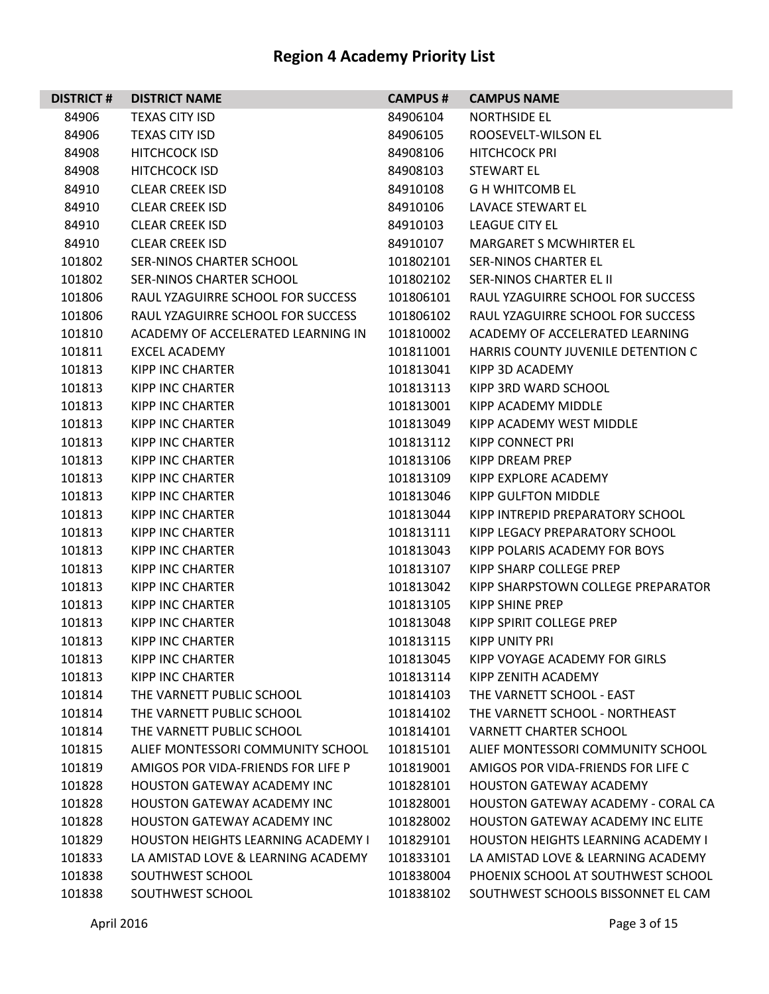| <b>DISTRICT#</b> | <b>DISTRICT NAME</b>                      | <b>CAMPUS#</b> | <b>CAMPUS NAME</b>                        |
|------------------|-------------------------------------------|----------------|-------------------------------------------|
| 84906            | <b>TEXAS CITY ISD</b>                     | 84906104       | <b>NORTHSIDE EL</b>                       |
| 84906            | <b>TEXAS CITY ISD</b>                     | 84906105       | ROOSEVELT-WILSON EL                       |
| 84908            | <b>HITCHCOCK ISD</b>                      | 84908106       | <b>HITCHCOCK PRI</b>                      |
| 84908            | <b>HITCHCOCK ISD</b>                      | 84908103       | <b>STEWART EL</b>                         |
| 84910            | <b>CLEAR CREEK ISD</b>                    | 84910108       | <b>G H WHITCOMB EL</b>                    |
| 84910            | <b>CLEAR CREEK ISD</b>                    | 84910106       | LAVACE STEWART EL                         |
| 84910            | <b>CLEAR CREEK ISD</b>                    | 84910103       | <b>LEAGUE CITY EL</b>                     |
| 84910            | <b>CLEAR CREEK ISD</b>                    | 84910107       | <b>MARGARET S MCWHIRTER EL</b>            |
| 101802           | SER-NINOS CHARTER SCHOOL                  | 101802101      | <b>SER-NINOS CHARTER EL</b>               |
| 101802           | SER-NINOS CHARTER SCHOOL                  | 101802102      | SER-NINOS CHARTER EL II                   |
| 101806           | RAUL YZAGUIRRE SCHOOL FOR SUCCESS         | 101806101      | RAUL YZAGUIRRE SCHOOL FOR SUCCESS         |
| 101806           | RAUL YZAGUIRRE SCHOOL FOR SUCCESS         | 101806102      | RAUL YZAGUIRRE SCHOOL FOR SUCCESS         |
| 101810           | ACADEMY OF ACCELERATED LEARNING IN        | 101810002      | ACADEMY OF ACCELERATED LEARNING           |
| 101811           | <b>EXCEL ACADEMY</b>                      | 101811001      | HARRIS COUNTY JUVENILE DETENTION C        |
| 101813           | <b>KIPP INC CHARTER</b>                   | 101813041      | KIPP 3D ACADEMY                           |
| 101813           | <b>KIPP INC CHARTER</b>                   | 101813113      | KIPP 3RD WARD SCHOOL                      |
| 101813           | <b>KIPP INC CHARTER</b>                   | 101813001      | KIPP ACADEMY MIDDLE                       |
| 101813           | KIPP INC CHARTER                          | 101813049      | KIPP ACADEMY WEST MIDDLE                  |
| 101813           | <b>KIPP INC CHARTER</b>                   | 101813112      | KIPP CONNECT PRI                          |
| 101813           | <b>KIPP INC CHARTER</b>                   | 101813106      | KIPP DREAM PREP                           |
| 101813           | <b>KIPP INC CHARTER</b>                   | 101813109      | KIPP EXPLORE ACADEMY                      |
| 101813           | <b>KIPP INC CHARTER</b>                   | 101813046      | <b>KIPP GULFTON MIDDLE</b>                |
| 101813           | KIPP INC CHARTER                          | 101813044      | KIPP INTREPID PREPARATORY SCHOOL          |
| 101813           | <b>KIPP INC CHARTER</b>                   | 101813111      | KIPP LEGACY PREPARATORY SCHOOL            |
| 101813           | <b>KIPP INC CHARTER</b>                   | 101813043      | KIPP POLARIS ACADEMY FOR BOYS             |
| 101813           | <b>KIPP INC CHARTER</b>                   | 101813107      | KIPP SHARP COLLEGE PREP                   |
| 101813           | KIPP INC CHARTER                          | 101813042      | KIPP SHARPSTOWN COLLEGE PREPARATOR        |
| 101813           | <b>KIPP INC CHARTER</b>                   | 101813105      | KIPP SHINE PREP                           |
| 101813           | KIPP INC CHARTER                          | 101813048      | KIPP SPIRIT COLLEGE PREP                  |
| 101813           | <b>KIPP INC CHARTER</b>                   | 101813115      | <b>KIPP UNITY PRI</b>                     |
| 101813           | KIPP INC CHARTER                          | 101813045      | KIPP VOYAGE ACADEMY FOR GIRLS             |
| 101813           | KIPP INC CHARTER                          | 101813114      | KIPP ZENITH ACADEMY                       |
| 101814           | THE VARNETT PUBLIC SCHOOL                 | 101814103      | THE VARNETT SCHOOL - EAST                 |
| 101814           | THE VARNETT PUBLIC SCHOOL                 | 101814102      | THE VARNETT SCHOOL - NORTHEAST            |
| 101814           | THE VARNETT PUBLIC SCHOOL                 | 101814101      | <b>VARNETT CHARTER SCHOOL</b>             |
| 101815           | ALIEF MONTESSORI COMMUNITY SCHOOL         | 101815101      | ALIEF MONTESSORI COMMUNITY SCHOOL         |
| 101819           | AMIGOS POR VIDA-FRIENDS FOR LIFE P        | 101819001      | AMIGOS POR VIDA-FRIENDS FOR LIFE C        |
| 101828           | <b>HOUSTON GATEWAY ACADEMY INC</b>        | 101828101      | <b>HOUSTON GATEWAY ACADEMY</b>            |
| 101828           | <b>HOUSTON GATEWAY ACADEMY INC</b>        | 101828001      | <b>HOUSTON GATEWAY ACADEMY - CORAL CA</b> |
| 101828           | <b>HOUSTON GATEWAY ACADEMY INC</b>        | 101828002      | <b>HOUSTON GATEWAY ACADEMY INC ELITE</b>  |
| 101829           | <b>HOUSTON HEIGHTS LEARNING ACADEMY I</b> | 101829101      | <b>HOUSTON HEIGHTS LEARNING ACADEMY I</b> |
| 101833           | LA AMISTAD LOVE & LEARNING ACADEMY        | 101833101      | LA AMISTAD LOVE & LEARNING ACADEMY        |
| 101838           | SOUTHWEST SCHOOL                          | 101838004      | PHOENIX SCHOOL AT SOUTHWEST SCHOOL        |
| 101838           | SOUTHWEST SCHOOL                          | 101838102      | SOUTHWEST SCHOOLS BISSONNET EL CAM        |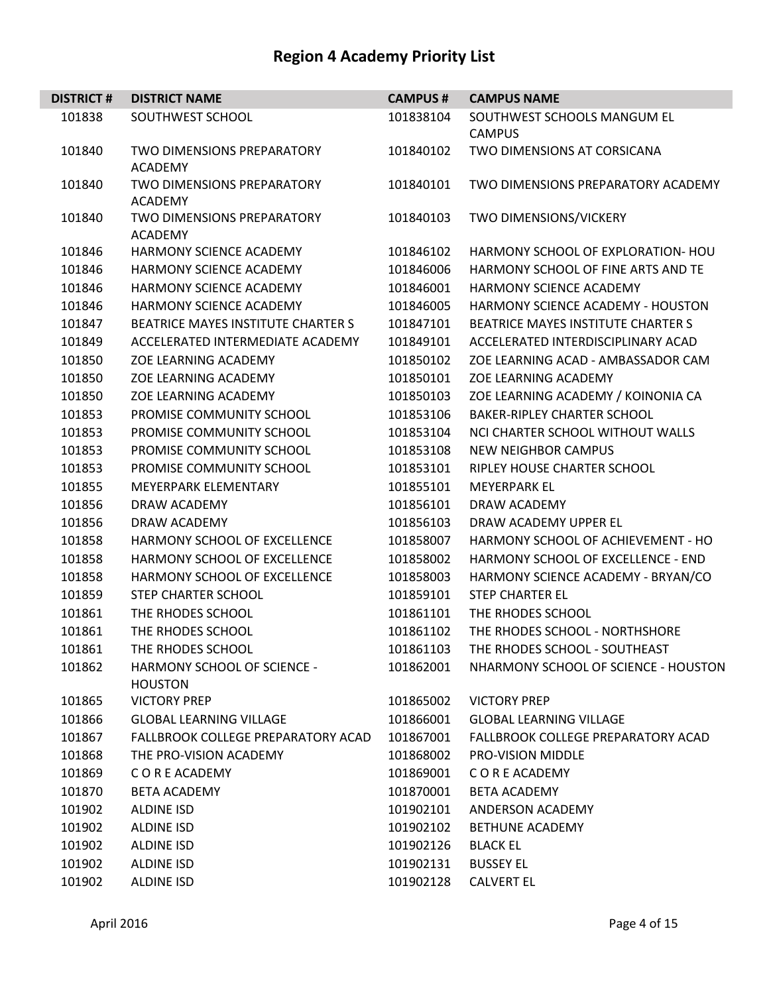| <b>DISTRICT#</b> | <b>DISTRICT NAME</b>                                | <b>CAMPUS#</b> | <b>CAMPUS NAME</b>                   |
|------------------|-----------------------------------------------------|----------------|--------------------------------------|
| 101838           | SOUTHWEST SCHOOL                                    | 101838104      | SOUTHWEST SCHOOLS MANGUM EL          |
|                  |                                                     |                | <b>CAMPUS</b>                        |
| 101840           | <b>TWO DIMENSIONS PREPARATORY</b><br><b>ACADEMY</b> | 101840102      | <b>TWO DIMENSIONS AT CORSICANA</b>   |
| 101840           | <b>TWO DIMENSIONS PREPARATORY</b><br><b>ACADEMY</b> | 101840101      | TWO DIMENSIONS PREPARATORY ACADEMY   |
| 101840           | <b>TWO DIMENSIONS PREPARATORY</b><br><b>ACADEMY</b> | 101840103      | TWO DIMENSIONS/VICKERY               |
| 101846           | HARMONY SCIENCE ACADEMY                             | 101846102      | HARMONY SCHOOL OF EXPLORATION- HOU   |
| 101846           | HARMONY SCIENCE ACADEMY                             | 101846006      | HARMONY SCHOOL OF FINE ARTS AND TE   |
| 101846           | HARMONY SCIENCE ACADEMY                             | 101846001      | <b>HARMONY SCIENCE ACADEMY</b>       |
| 101846           | HARMONY SCIENCE ACADEMY                             | 101846005      | HARMONY SCIENCE ACADEMY - HOUSTON    |
| 101847           | BEATRICE MAYES INSTITUTE CHARTER S                  | 101847101      | BEATRICE MAYES INSTITUTE CHARTER S   |
| 101849           | ACCELERATED INTERMEDIATE ACADEMY                    | 101849101      | ACCELERATED INTERDISCIPLINARY ACAD   |
| 101850           | ZOE LEARNING ACADEMY                                | 101850102      | ZOE LEARNING ACAD - AMBASSADOR CAM   |
| 101850           | ZOE LEARNING ACADEMY                                | 101850101      | ZOE LEARNING ACADEMY                 |
| 101850           | <b>ZOE LEARNING ACADEMY</b>                         | 101850103      | ZOE LEARNING ACADEMY / KOINONIA CA   |
| 101853           | PROMISE COMMUNITY SCHOOL                            | 101853106      | <b>BAKER-RIPLEY CHARTER SCHOOL</b>   |
| 101853           | PROMISE COMMUNITY SCHOOL                            | 101853104      | NCI CHARTER SCHOOL WITHOUT WALLS     |
| 101853           | PROMISE COMMUNITY SCHOOL                            | 101853108      | <b>NEW NEIGHBOR CAMPUS</b>           |
| 101853           | PROMISE COMMUNITY SCHOOL                            | 101853101      | RIPLEY HOUSE CHARTER SCHOOL          |
| 101855           | <b>MEYERPARK ELEMENTARY</b>                         | 101855101      | <b>MEYERPARK EL</b>                  |
| 101856           | DRAW ACADEMY                                        | 101856101      | DRAW ACADEMY                         |
| 101856           | DRAW ACADEMY                                        | 101856103      | DRAW ACADEMY UPPER EL                |
| 101858           | HARMONY SCHOOL OF EXCELLENCE                        | 101858007      | HARMONY SCHOOL OF ACHIEVEMENT - HO   |
| 101858           | HARMONY SCHOOL OF EXCELLENCE                        | 101858002      | HARMONY SCHOOL OF EXCELLENCE - END   |
| 101858           | HARMONY SCHOOL OF EXCELLENCE                        | 101858003      | HARMONY SCIENCE ACADEMY - BRYAN/CO   |
| 101859           | <b>STEP CHARTER SCHOOL</b>                          | 101859101      | <b>STEP CHARTER EL</b>               |
| 101861           | THE RHODES SCHOOL                                   | 101861101      | THE RHODES SCHOOL                    |
| 101861           | THE RHODES SCHOOL                                   | 101861102      | THE RHODES SCHOOL - NORTHSHORE       |
| 101861           | THE RHODES SCHOOL                                   | 101861103      | THE RHODES SCHOOL - SOUTHEAST        |
| 101862           | HARMONY SCHOOL OF SCIENCE -<br><b>HOUSTON</b>       | 101862001      | NHARMONY SCHOOL OF SCIENCE - HOUSTON |
| 101865           | <b>VICTORY PREP</b>                                 | 101865002      | <b>VICTORY PREP</b>                  |
| 101866           | <b>GLOBAL LEARNING VILLAGE</b>                      | 101866001      | <b>GLOBAL LEARNING VILLAGE</b>       |
| 101867           | FALLBROOK COLLEGE PREPARATORY ACAD                  | 101867001      | FALLBROOK COLLEGE PREPARATORY ACAD   |
| 101868           | THE PRO-VISION ACADEMY                              | 101868002      | PRO-VISION MIDDLE                    |
| 101869           | C O R E ACADEMY                                     | 101869001      | C O R E ACADEMY                      |
| 101870           | <b>BETA ACADEMY</b>                                 | 101870001      | <b>BETA ACADEMY</b>                  |
| 101902           | <b>ALDINE ISD</b>                                   | 101902101      | ANDERSON ACADEMY                     |
| 101902           | <b>ALDINE ISD</b>                                   | 101902102      | <b>BETHUNE ACADEMY</b>               |
| 101902           | <b>ALDINE ISD</b>                                   | 101902126      | <b>BLACK EL</b>                      |
| 101902           | <b>ALDINE ISD</b>                                   | 101902131      | <b>BUSSEY EL</b>                     |
| 101902           | <b>ALDINE ISD</b>                                   | 101902128      | <b>CALVERT EL</b>                    |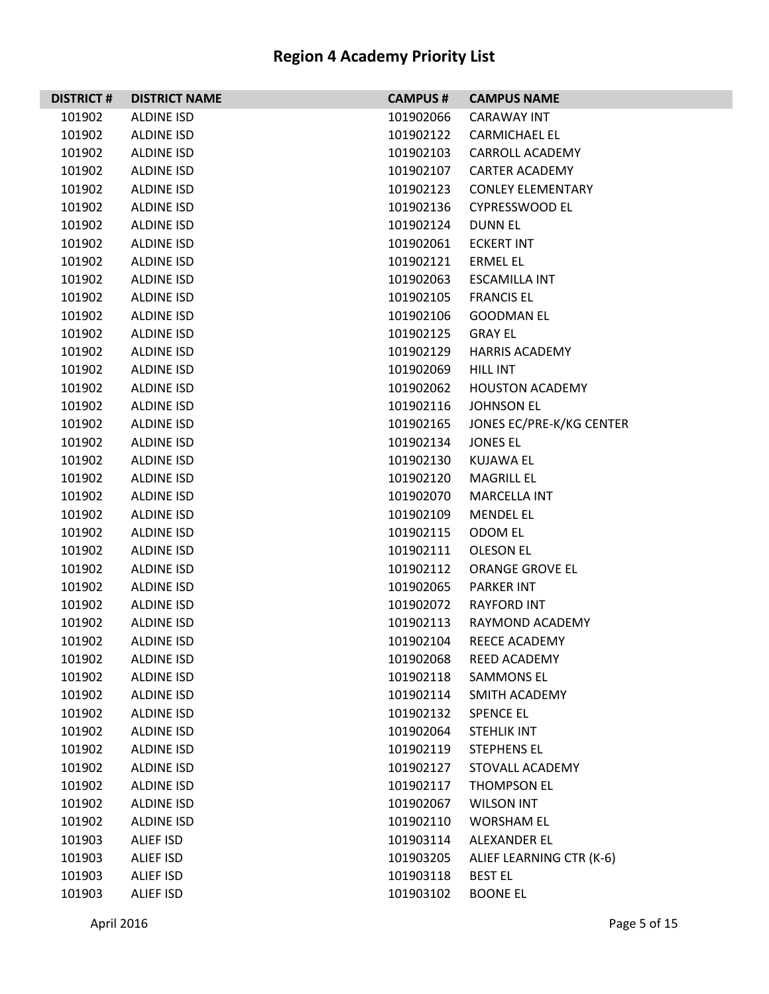| <b>DISTRICT#</b> | <b>DISTRICT NAME</b> | <b>CAMPUS#</b> | <b>CAMPUS NAME</b>       |
|------------------|----------------------|----------------|--------------------------|
| 101902           | <b>ALDINE ISD</b>    | 101902066      | <b>CARAWAY INT</b>       |
| 101902           | <b>ALDINE ISD</b>    | 101902122      | <b>CARMICHAEL EL</b>     |
| 101902           | <b>ALDINE ISD</b>    | 101902103      | <b>CARROLL ACADEMY</b>   |
| 101902           | <b>ALDINE ISD</b>    | 101902107      | <b>CARTER ACADEMY</b>    |
| 101902           | <b>ALDINE ISD</b>    | 101902123      | <b>CONLEY ELEMENTARY</b> |
| 101902           | <b>ALDINE ISD</b>    | 101902136      | <b>CYPRESSWOOD EL</b>    |
| 101902           | <b>ALDINE ISD</b>    | 101902124      | <b>DUNNEL</b>            |
| 101902           | <b>ALDINE ISD</b>    | 101902061      | <b>ECKERT INT</b>        |
| 101902           | <b>ALDINE ISD</b>    | 101902121      | ERMEL EL                 |
| 101902           | <b>ALDINE ISD</b>    | 101902063      | <b>ESCAMILLA INT</b>     |
| 101902           | <b>ALDINE ISD</b>    | 101902105      | <b>FRANCIS EL</b>        |
| 101902           | <b>ALDINE ISD</b>    | 101902106      | <b>GOODMAN EL</b>        |
| 101902           | <b>ALDINE ISD</b>    | 101902125      | <b>GRAY EL</b>           |
| 101902           | <b>ALDINE ISD</b>    | 101902129      | <b>HARRIS ACADEMY</b>    |
| 101902           | <b>ALDINE ISD</b>    | 101902069      | <b>HILL INT</b>          |
| 101902           | <b>ALDINE ISD</b>    | 101902062      | <b>HOUSTON ACADEMY</b>   |
| 101902           | <b>ALDINE ISD</b>    | 101902116      | <b>JOHNSON EL</b>        |
| 101902           | <b>ALDINE ISD</b>    | 101902165      | JONES EC/PRE-K/KG CENTER |
| 101902           | <b>ALDINE ISD</b>    | 101902134      | <b>JONES EL</b>          |
| 101902           | <b>ALDINE ISD</b>    | 101902130      | <b>KUJAWA EL</b>         |
| 101902           | <b>ALDINE ISD</b>    | 101902120      | <b>MAGRILL EL</b>        |
| 101902           | <b>ALDINE ISD</b>    | 101902070      | <b>MARCELLA INT</b>      |
| 101902           | <b>ALDINE ISD</b>    | 101902109      | <b>MENDEL EL</b>         |
| 101902           | <b>ALDINE ISD</b>    | 101902115      | ODOM EL                  |
| 101902           | <b>ALDINE ISD</b>    | 101902111      | <b>OLESON EL</b>         |
| 101902           | <b>ALDINE ISD</b>    | 101902112      | ORANGE GROVE EL          |
| 101902           | <b>ALDINE ISD</b>    | 101902065      | <b>PARKER INT</b>        |
| 101902           | <b>ALDINE ISD</b>    | 101902072      | <b>RAYFORD INT</b>       |
| 101902           | <b>ALDINE ISD</b>    | 101902113      | RAYMOND ACADEMY          |
| 101902           | <b>ALDINE ISD</b>    | 101902104      | REECE ACADEMY            |
| 101902           | <b>ALDINE ISD</b>    | 101902068      | REED ACADEMY             |
| 101902           | <b>ALDINE ISD</b>    | 101902118      | <b>SAMMONS EL</b>        |
| 101902           | <b>ALDINE ISD</b>    | 101902114      | SMITH ACADEMY            |
| 101902           | <b>ALDINE ISD</b>    | 101902132      | <b>SPENCE EL</b>         |
| 101902           | <b>ALDINE ISD</b>    | 101902064      | <b>STEHLIK INT</b>       |
| 101902           | <b>ALDINE ISD</b>    | 101902119      | <b>STEPHENS EL</b>       |
| 101902           | <b>ALDINE ISD</b>    | 101902127      | STOVALL ACADEMY          |
| 101902           | <b>ALDINE ISD</b>    | 101902117      | THOMPSON EL              |
| 101902           | <b>ALDINE ISD</b>    | 101902067      | <b>WILSON INT</b>        |
| 101902           | <b>ALDINE ISD</b>    | 101902110      | <b>WORSHAM EL</b>        |
| 101903           | <b>ALIEF ISD</b>     | 101903114      | ALEXANDER EL             |
| 101903           | ALIEF ISD            | 101903205      | ALIEF LEARNING CTR (K-6) |
| 101903           | ALIEF ISD            | 101903118      | <b>BEST EL</b>           |
| 101903           | <b>ALIEF ISD</b>     | 101903102      | <b>BOONE EL</b>          |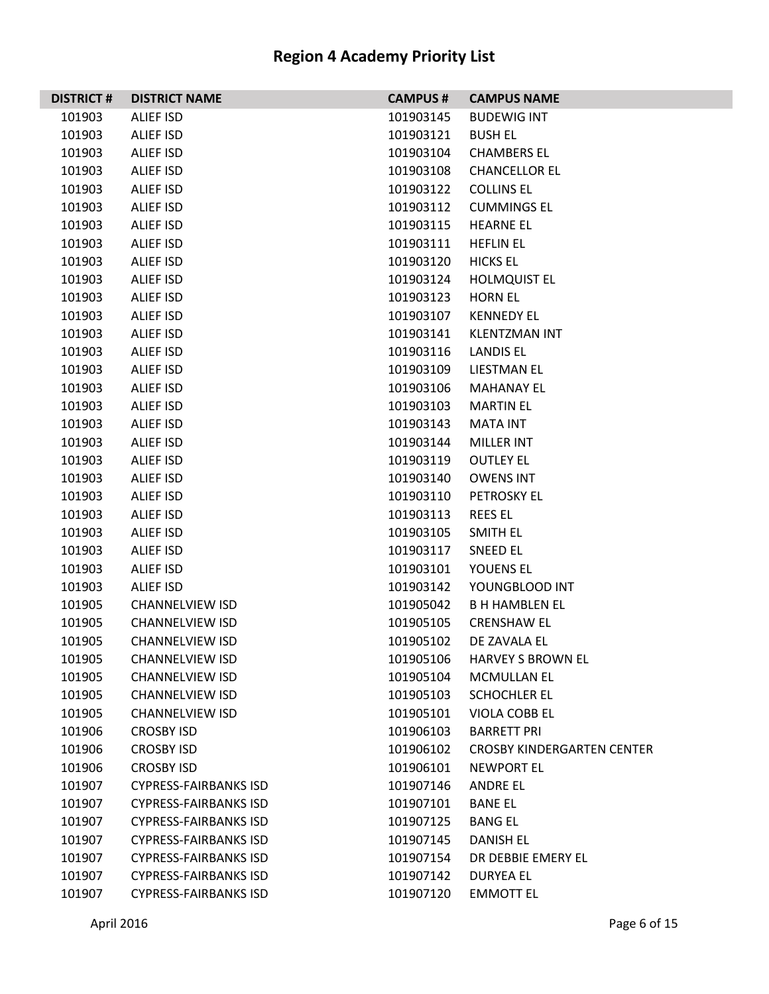| <b>DISTRICT#</b> | <b>DISTRICT NAME</b>         | <b>CAMPUS #</b> | <b>CAMPUS NAME</b>                |
|------------------|------------------------------|-----------------|-----------------------------------|
| 101903           | ALIEF ISD                    | 101903145       | <b>BUDEWIG INT</b>                |
| 101903           | ALIEF ISD                    | 101903121       | <b>BUSH EL</b>                    |
| 101903           | ALIEF ISD                    | 101903104       | <b>CHAMBERS EL</b>                |
| 101903           | ALIEF ISD                    | 101903108       | <b>CHANCELLOR EL</b>              |
| 101903           | ALIEF ISD                    | 101903122       | <b>COLLINS EL</b>                 |
| 101903           | ALIEF ISD                    | 101903112       | <b>CUMMINGS EL</b>                |
| 101903           | ALIEF ISD                    | 101903115       | <b>HEARNE EL</b>                  |
| 101903           | ALIEF ISD                    | 101903111       | <b>HEFLIN EL</b>                  |
| 101903           | ALIEF ISD                    | 101903120       | <b>HICKS EL</b>                   |
| 101903           | ALIEF ISD                    | 101903124       | <b>HOLMQUIST EL</b>               |
| 101903           | <b>ALIEF ISD</b>             | 101903123       | <b>HORN EL</b>                    |
| 101903           | ALIEF ISD                    | 101903107       | <b>KENNEDY EL</b>                 |
| 101903           | ALIEF ISD                    | 101903141       | <b>KLENTZMAN INT</b>              |
| 101903           | ALIEF ISD                    | 101903116       | LANDIS EL                         |
| 101903           | ALIEF ISD                    | 101903109       | LIESTMAN EL                       |
| 101903           | ALIEF ISD                    | 101903106       | <b>MAHANAY EL</b>                 |
| 101903           | ALIEF ISD                    | 101903103       | <b>MARTIN EL</b>                  |
| 101903           | ALIEF ISD                    | 101903143       | MATA INT                          |
| 101903           | ALIEF ISD                    | 101903144       | <b>MILLER INT</b>                 |
| 101903           | ALIEF ISD                    | 101903119       | <b>OUTLEY EL</b>                  |
| 101903           | <b>ALIEF ISD</b>             | 101903140       | <b>OWENS INT</b>                  |
| 101903           | ALIEF ISD                    | 101903110       | PETROSKY EL                       |
| 101903           | ALIEF ISD                    | 101903113       | <b>REES EL</b>                    |
| 101903           | ALIEF ISD                    | 101903105       | SMITH EL                          |
| 101903           | ALIEF ISD                    | 101903117       | <b>SNEED EL</b>                   |
| 101903           | ALIEF ISD                    | 101903101       | YOUENS EL                         |
| 101903           | ALIEF ISD                    | 101903142       | YOUNGBLOOD INT                    |
| 101905           | <b>CHANNELVIEW ISD</b>       | 101905042       | <b>B H HAMBLEN EL</b>             |
| 101905           | <b>CHANNELVIEW ISD</b>       | 101905105       | <b>CRENSHAW EL</b>                |
| 101905           | <b>CHANNELVIEW ISD</b>       | 101905102       | DE ZAVALA EL                      |
| 101905           | <b>CHANNELVIEW ISD</b>       | 101905106       | <b>HARVEY S BROWN EL</b>          |
| 101905           | <b>CHANNELVIEW ISD</b>       | 101905104       | <b>MCMULLAN EL</b>                |
| 101905           | <b>CHANNELVIEW ISD</b>       | 101905103       | <b>SCHOCHLER EL</b>               |
| 101905           | <b>CHANNELVIEW ISD</b>       | 101905101       | <b>VIOLA COBB EL</b>              |
| 101906           | <b>CROSBY ISD</b>            | 101906103       | <b>BARRETT PRI</b>                |
| 101906           | <b>CROSBY ISD</b>            | 101906102       | <b>CROSBY KINDERGARTEN CENTER</b> |
| 101906           | <b>CROSBY ISD</b>            | 101906101       | <b>NEWPORT EL</b>                 |
| 101907           | <b>CYPRESS-FAIRBANKS ISD</b> | 101907146       | <b>ANDRE EL</b>                   |
| 101907           | <b>CYPRESS-FAIRBANKS ISD</b> | 101907101       | <b>BANE EL</b>                    |
| 101907           | <b>CYPRESS-FAIRBANKS ISD</b> | 101907125       | <b>BANG EL</b>                    |
| 101907           | <b>CYPRESS-FAIRBANKS ISD</b> | 101907145       | DANISH EL                         |
| 101907           | <b>CYPRESS-FAIRBANKS ISD</b> | 101907154       | DR DEBBIE EMERY EL                |
| 101907           | <b>CYPRESS-FAIRBANKS ISD</b> | 101907142       | <b>DURYEA EL</b>                  |
| 101907           | <b>CYPRESS-FAIRBANKS ISD</b> | 101907120       | <b>EMMOTT EL</b>                  |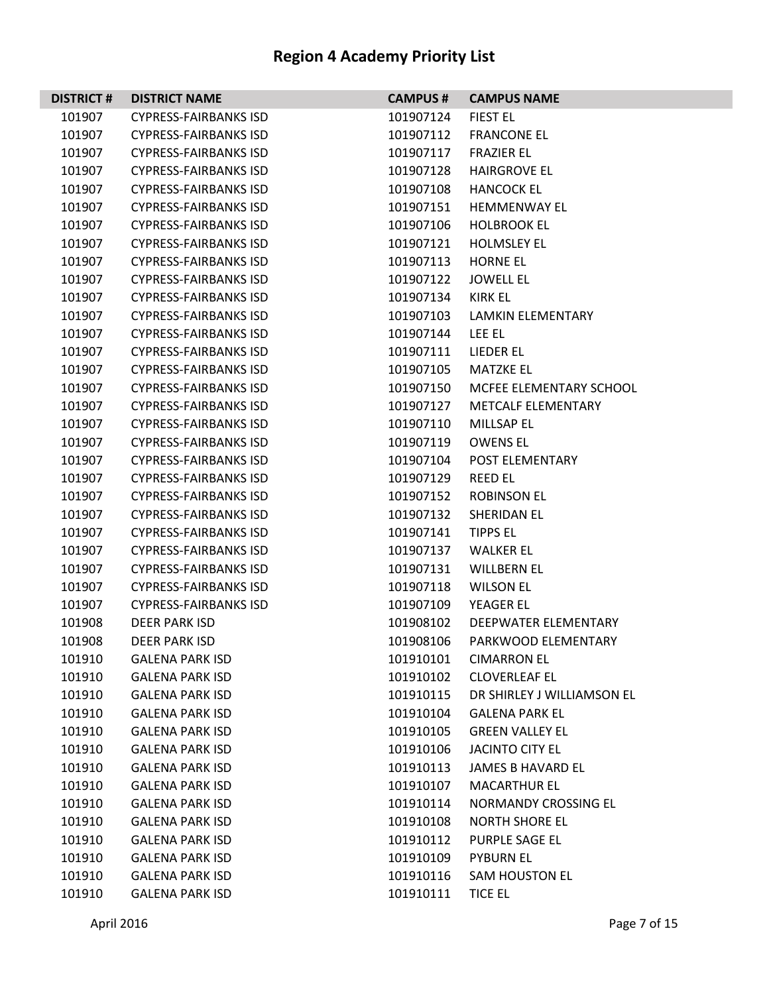| <b>DISTRICT#</b> | <b>DISTRICT NAME</b>         | <b>CAMPUS#</b> | <b>CAMPUS NAME</b>          |
|------------------|------------------------------|----------------|-----------------------------|
| 101907           | <b>CYPRESS-FAIRBANKS ISD</b> | 101907124      | <b>FIEST EL</b>             |
| 101907           | <b>CYPRESS-FAIRBANKS ISD</b> | 101907112      | <b>FRANCONE EL</b>          |
| 101907           | <b>CYPRESS-FAIRBANKS ISD</b> | 101907117      | <b>FRAZIER EL</b>           |
| 101907           | <b>CYPRESS-FAIRBANKS ISD</b> | 101907128      | <b>HAIRGROVE EL</b>         |
| 101907           | <b>CYPRESS-FAIRBANKS ISD</b> | 101907108      | <b>HANCOCK EL</b>           |
| 101907           | <b>CYPRESS-FAIRBANKS ISD</b> | 101907151      | <b>HEMMENWAY EL</b>         |
| 101907           | <b>CYPRESS-FAIRBANKS ISD</b> | 101907106      | <b>HOLBROOK EL</b>          |
| 101907           | <b>CYPRESS-FAIRBANKS ISD</b> | 101907121      | <b>HOLMSLEY EL</b>          |
| 101907           | <b>CYPRESS-FAIRBANKS ISD</b> | 101907113      | <b>HORNE EL</b>             |
| 101907           | <b>CYPRESS-FAIRBANKS ISD</b> | 101907122      | <b>JOWELL EL</b>            |
| 101907           | <b>CYPRESS-FAIRBANKS ISD</b> | 101907134      | KIRK EL                     |
| 101907           | <b>CYPRESS-FAIRBANKS ISD</b> | 101907103      | LAMKIN ELEMENTARY           |
| 101907           | <b>CYPRESS-FAIRBANKS ISD</b> | 101907144      | LEE EL                      |
| 101907           | <b>CYPRESS-FAIRBANKS ISD</b> | 101907111      | LIEDER EL                   |
| 101907           | <b>CYPRESS-FAIRBANKS ISD</b> | 101907105      | <b>MATZKE EL</b>            |
| 101907           | <b>CYPRESS-FAIRBANKS ISD</b> | 101907150      | MCFEE ELEMENTARY SCHOOL     |
| 101907           | <b>CYPRESS-FAIRBANKS ISD</b> | 101907127      | <b>METCALF ELEMENTARY</b>   |
| 101907           | <b>CYPRESS-FAIRBANKS ISD</b> | 101907110      | MILLSAP EL                  |
| 101907           | <b>CYPRESS-FAIRBANKS ISD</b> | 101907119      | <b>OWENS EL</b>             |
| 101907           | <b>CYPRESS-FAIRBANKS ISD</b> | 101907104      | POST ELEMENTARY             |
| 101907           | <b>CYPRESS-FAIRBANKS ISD</b> | 101907129      | <b>REED EL</b>              |
| 101907           | <b>CYPRESS-FAIRBANKS ISD</b> | 101907152      | <b>ROBINSON EL</b>          |
| 101907           | <b>CYPRESS-FAIRBANKS ISD</b> | 101907132      | <b>SHERIDAN EL</b>          |
| 101907           | <b>CYPRESS-FAIRBANKS ISD</b> | 101907141      | <b>TIPPS EL</b>             |
| 101907           | <b>CYPRESS-FAIRBANKS ISD</b> | 101907137      | <b>WALKER EL</b>            |
| 101907           | <b>CYPRESS-FAIRBANKS ISD</b> | 101907131      | <b>WILLBERN EL</b>          |
| 101907           | <b>CYPRESS-FAIRBANKS ISD</b> | 101907118      | <b>WILSON EL</b>            |
| 101907           | <b>CYPRESS-FAIRBANKS ISD</b> | 101907109      | <b>YEAGER EL</b>            |
| 101908           | DEER PARK ISD                | 101908102      | DEEPWATER ELEMENTARY        |
| 101908           | <b>DEER PARK ISD</b>         | 101908106      | PARKWOOD ELEMENTARY         |
| 101910           | <b>GALENA PARK ISD</b>       | 101910101      | <b>CIMARRON EL</b>          |
| 101910           | <b>GALENA PARK ISD</b>       | 101910102      | <b>CLOVERLEAF EL</b>        |
| 101910           | <b>GALENA PARK ISD</b>       | 101910115      | DR SHIRLEY J WILLIAMSON EL  |
| 101910           | <b>GALENA PARK ISD</b>       | 101910104      | <b>GALENA PARK EL</b>       |
| 101910           | <b>GALENA PARK ISD</b>       | 101910105      | <b>GREEN VALLEY EL</b>      |
| 101910           | <b>GALENA PARK ISD</b>       | 101910106      | <b>JACINTO CITY EL</b>      |
| 101910           | <b>GALENA PARK ISD</b>       | 101910113      | <b>JAMES B HAVARD EL</b>    |
| 101910           | <b>GALENA PARK ISD</b>       | 101910107      | <b>MACARTHUR EL</b>         |
| 101910           | <b>GALENA PARK ISD</b>       | 101910114      | <b>NORMANDY CROSSING EL</b> |
| 101910           | <b>GALENA PARK ISD</b>       | 101910108      | <b>NORTH SHORE EL</b>       |
| 101910           | <b>GALENA PARK ISD</b>       | 101910112      | PURPLE SAGE EL              |
| 101910           | <b>GALENA PARK ISD</b>       | 101910109      | <b>PYBURN EL</b>            |
| 101910           | <b>GALENA PARK ISD</b>       | 101910116      | <b>SAM HOUSTON EL</b>       |
| 101910           | <b>GALENA PARK ISD</b>       | 101910111      | <b>TICE EL</b>              |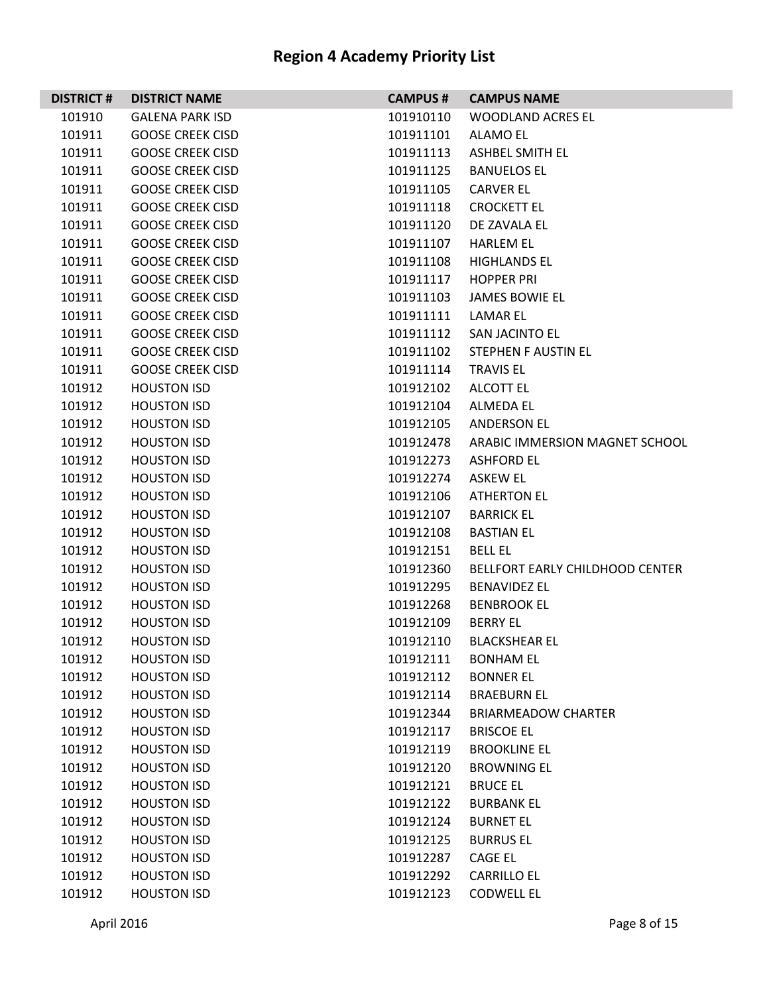| <b>DISTRICT#</b> | <b>DISTRICT NAME</b>    | <b>CAMPUS #</b> | <b>CAMPUS NAME</b>                     |
|------------------|-------------------------|-----------------|----------------------------------------|
| 101910           | <b>GALENA PARK ISD</b>  | 101910110       | <b>WOODLAND ACRES EL</b>               |
| 101911           | <b>GOOSE CREEK CISD</b> | 101911101       | ALAMO EL                               |
| 101911           | <b>GOOSE CREEK CISD</b> | 101911113       | <b>ASHBEL SMITH EL</b>                 |
| 101911           | <b>GOOSE CREEK CISD</b> | 101911125       | <b>BANUELOS EL</b>                     |
| 101911           | <b>GOOSE CREEK CISD</b> | 101911105       | <b>CARVER EL</b>                       |
| 101911           | <b>GOOSE CREEK CISD</b> | 101911118       | <b>CROCKETT EL</b>                     |
| 101911           | <b>GOOSE CREEK CISD</b> | 101911120       | DE ZAVALA EL                           |
| 101911           | <b>GOOSE CREEK CISD</b> | 101911107       | <b>HARLEM EL</b>                       |
| 101911           | <b>GOOSE CREEK CISD</b> | 101911108       | <b>HIGHLANDS EL</b>                    |
| 101911           | <b>GOOSE CREEK CISD</b> | 101911117       | <b>HOPPER PRI</b>                      |
| 101911           | <b>GOOSE CREEK CISD</b> | 101911103       | <b>JAMES BOWIE EL</b>                  |
| 101911           | <b>GOOSE CREEK CISD</b> | 101911111       | LAMAR EL                               |
| 101911           | <b>GOOSE CREEK CISD</b> | 101911112       | <b>SAN JACINTO EL</b>                  |
| 101911           | <b>GOOSE CREEK CISD</b> | 101911102       | STEPHEN F AUSTIN EL                    |
| 101911           | <b>GOOSE CREEK CISD</b> | 101911114       | <b>TRAVIS EL</b>                       |
| 101912           | <b>HOUSTON ISD</b>      | 101912102       | <b>ALCOTT EL</b>                       |
| 101912           | <b>HOUSTON ISD</b>      | 101912104       | <b>ALMEDA EL</b>                       |
| 101912           | <b>HOUSTON ISD</b>      | 101912105       | <b>ANDERSON EL</b>                     |
| 101912           | <b>HOUSTON ISD</b>      | 101912478       | ARABIC IMMERSION MAGNET SCHOOL         |
| 101912           | <b>HOUSTON ISD</b>      | 101912273       | <b>ASHFORD EL</b>                      |
| 101912           | <b>HOUSTON ISD</b>      | 101912274       | ASKEW EL                               |
| 101912           | <b>HOUSTON ISD</b>      | 101912106       | <b>ATHERTON EL</b>                     |
| 101912           | <b>HOUSTON ISD</b>      | 101912107       | <b>BARRICK EL</b>                      |
| 101912           | <b>HOUSTON ISD</b>      | 101912108       | <b>BASTIAN EL</b>                      |
| 101912           | <b>HOUSTON ISD</b>      | 101912151       | <b>BELL EL</b>                         |
| 101912           | <b>HOUSTON ISD</b>      | 101912360       | <b>BELLFORT EARLY CHILDHOOD CENTER</b> |
| 101912           | <b>HOUSTON ISD</b>      | 101912295       | <b>BENAVIDEZ EL</b>                    |
| 101912           | <b>HOUSTON ISD</b>      | 101912268       | <b>BENBROOK EL</b>                     |
| 101912           | <b>HOUSTON ISD</b>      | 101912109       | <b>BERRY EL</b>                        |
| 101912           | <b>HOUSTON ISD</b>      | 101912110       | <b>BLACKSHEAR EL</b>                   |
| 101912           | <b>HOUSTON ISD</b>      | 101912111       | <b>BONHAM EL</b>                       |
| 101912           | <b>HOUSTON ISD</b>      | 101912112       | <b>BONNER EL</b>                       |
| 101912           | <b>HOUSTON ISD</b>      | 101912114       | <b>BRAEBURN EL</b>                     |
| 101912           | <b>HOUSTON ISD</b>      | 101912344       | <b>BRIARMEADOW CHARTER</b>             |
| 101912           | <b>HOUSTON ISD</b>      | 101912117       | <b>BRISCOE EL</b>                      |
| 101912           | <b>HOUSTON ISD</b>      | 101912119       | <b>BROOKLINE EL</b>                    |
| 101912           | <b>HOUSTON ISD</b>      | 101912120       | <b>BROWNING EL</b>                     |
| 101912           | <b>HOUSTON ISD</b>      | 101912121       | <b>BRUCE EL</b>                        |
| 101912           | <b>HOUSTON ISD</b>      | 101912122       | <b>BURBANK EL</b>                      |
| 101912           | <b>HOUSTON ISD</b>      | 101912124       | <b>BURNET EL</b>                       |
| 101912           | <b>HOUSTON ISD</b>      | 101912125       | <b>BURRUS EL</b>                       |
| 101912           | <b>HOUSTON ISD</b>      | 101912287       | CAGE EL                                |
| 101912           | <b>HOUSTON ISD</b>      | 101912292       | <b>CARRILLO EL</b>                     |
| 101912           | <b>HOUSTON ISD</b>      | 101912123       | <b>CODWELL EL</b>                      |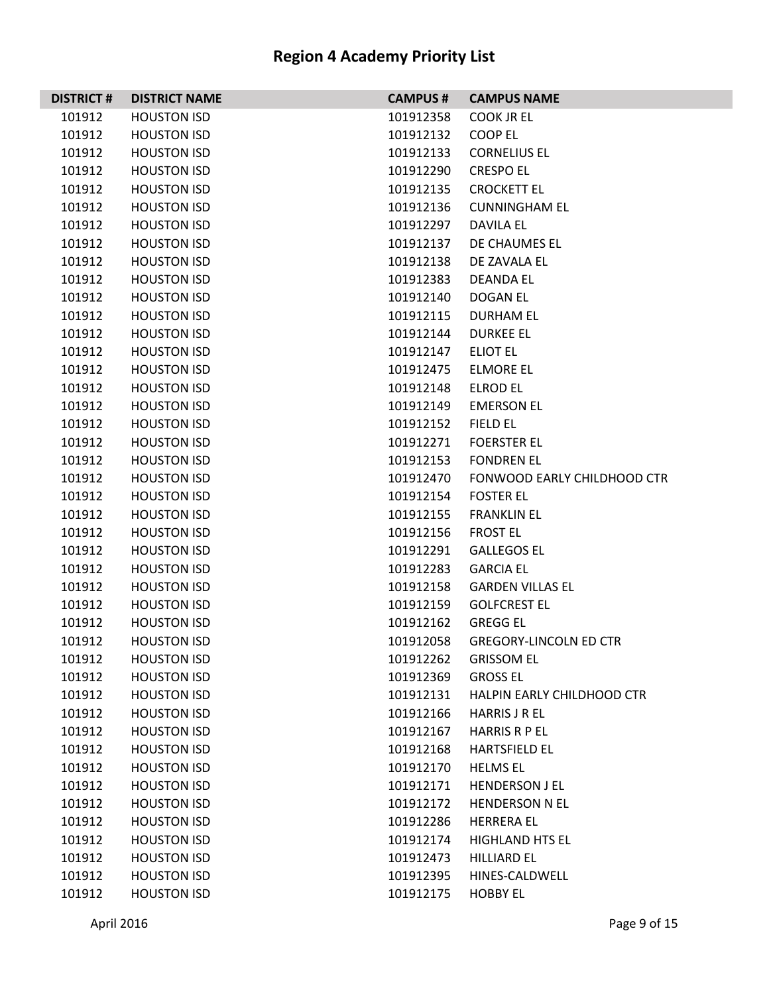| <b>DISTRICT#</b> | <b>DISTRICT NAME</b> | <b>CAMPUS#</b> | <b>CAMPUS NAME</b>                 |
|------------------|----------------------|----------------|------------------------------------|
| 101912           | <b>HOUSTON ISD</b>   | 101912358      | <b>COOK JR EL</b>                  |
| 101912           | <b>HOUSTON ISD</b>   | 101912132      | COOP EL                            |
| 101912           | <b>HOUSTON ISD</b>   | 101912133      | <b>CORNELIUS EL</b>                |
| 101912           | <b>HOUSTON ISD</b>   | 101912290      | <b>CRESPO EL</b>                   |
| 101912           | <b>HOUSTON ISD</b>   | 101912135      | <b>CROCKETT EL</b>                 |
| 101912           | <b>HOUSTON ISD</b>   | 101912136      | <b>CUNNINGHAM EL</b>               |
| 101912           | <b>HOUSTON ISD</b>   | 101912297      | DAVILA EL                          |
| 101912           | <b>HOUSTON ISD</b>   | 101912137      | DE CHAUMES EL                      |
| 101912           | <b>HOUSTON ISD</b>   | 101912138      | DE ZAVALA EL                       |
| 101912           | <b>HOUSTON ISD</b>   | 101912383      | <b>DEANDA EL</b>                   |
| 101912           | <b>HOUSTON ISD</b>   | 101912140      | DOGAN EL                           |
| 101912           | <b>HOUSTON ISD</b>   | 101912115      | <b>DURHAM EL</b>                   |
| 101912           | <b>HOUSTON ISD</b>   | 101912144      | <b>DURKEE EL</b>                   |
| 101912           | <b>HOUSTON ISD</b>   | 101912147      | <b>ELIOT EL</b>                    |
| 101912           | <b>HOUSTON ISD</b>   | 101912475      | <b>ELMORE EL</b>                   |
| 101912           | <b>HOUSTON ISD</b>   | 101912148      | <b>ELROD EL</b>                    |
| 101912           | <b>HOUSTON ISD</b>   | 101912149      | <b>EMERSON EL</b>                  |
| 101912           | <b>HOUSTON ISD</b>   | 101912152      | <b>FIELD EL</b>                    |
| 101912           | <b>HOUSTON ISD</b>   | 101912271      | <b>FOERSTER EL</b>                 |
| 101912           | <b>HOUSTON ISD</b>   | 101912153      | <b>FONDREN EL</b>                  |
| 101912           | <b>HOUSTON ISD</b>   | 101912470      | <b>FONWOOD EARLY CHILDHOOD CTR</b> |
| 101912           | <b>HOUSTON ISD</b>   | 101912154      | <b>FOSTER EL</b>                   |
| 101912           | <b>HOUSTON ISD</b>   | 101912155      | <b>FRANKLIN EL</b>                 |
| 101912           | <b>HOUSTON ISD</b>   | 101912156      | <b>FROST EL</b>                    |
| 101912           | <b>HOUSTON ISD</b>   | 101912291      | <b>GALLEGOS EL</b>                 |
| 101912           | <b>HOUSTON ISD</b>   | 101912283      | <b>GARCIA EL</b>                   |
| 101912           | <b>HOUSTON ISD</b>   | 101912158      | <b>GARDEN VILLAS EL</b>            |
| 101912           | <b>HOUSTON ISD</b>   | 101912159      | <b>GOLFCREST EL</b>                |
| 101912           | <b>HOUSTON ISD</b>   | 101912162      | <b>GREGG EL</b>                    |
| 101912           | <b>HOUSTON ISD</b>   | 101912058      | <b>GREGORY-LINCOLN ED CTR</b>      |
| 101912           | <b>HOUSTON ISD</b>   | 101912262      | <b>GRISSOM EL</b>                  |
| 101912           | <b>HOUSTON ISD</b>   | 101912369      | <b>GROSS EL</b>                    |
| 101912           | <b>HOUSTON ISD</b>   | 101912131      | HALPIN EARLY CHILDHOOD CTR         |
| 101912           | <b>HOUSTON ISD</b>   | 101912166      | <b>HARRIS J R EL</b>               |
| 101912           | <b>HOUSTON ISD</b>   | 101912167      | <b>HARRIS R P EL</b>               |
| 101912           | <b>HOUSTON ISD</b>   | 101912168      | <b>HARTSFIELD EL</b>               |
| 101912           | <b>HOUSTON ISD</b>   | 101912170      | <b>HELMS EL</b>                    |
| 101912           | <b>HOUSTON ISD</b>   | 101912171      | <b>HENDERSON J EL</b>              |
| 101912           | <b>HOUSTON ISD</b>   | 101912172      | <b>HENDERSON N EL</b>              |
| 101912           | <b>HOUSTON ISD</b>   | 101912286      | <b>HERRERA EL</b>                  |
| 101912           | <b>HOUSTON ISD</b>   | 101912174      | <b>HIGHLAND HTS EL</b>             |
| 101912           | <b>HOUSTON ISD</b>   | 101912473      | <b>HILLIARD EL</b>                 |
| 101912           | <b>HOUSTON ISD</b>   | 101912395      | HINES-CALDWELL                     |
| 101912           | <b>HOUSTON ISD</b>   | 101912175      | <b>HOBBY EL</b>                    |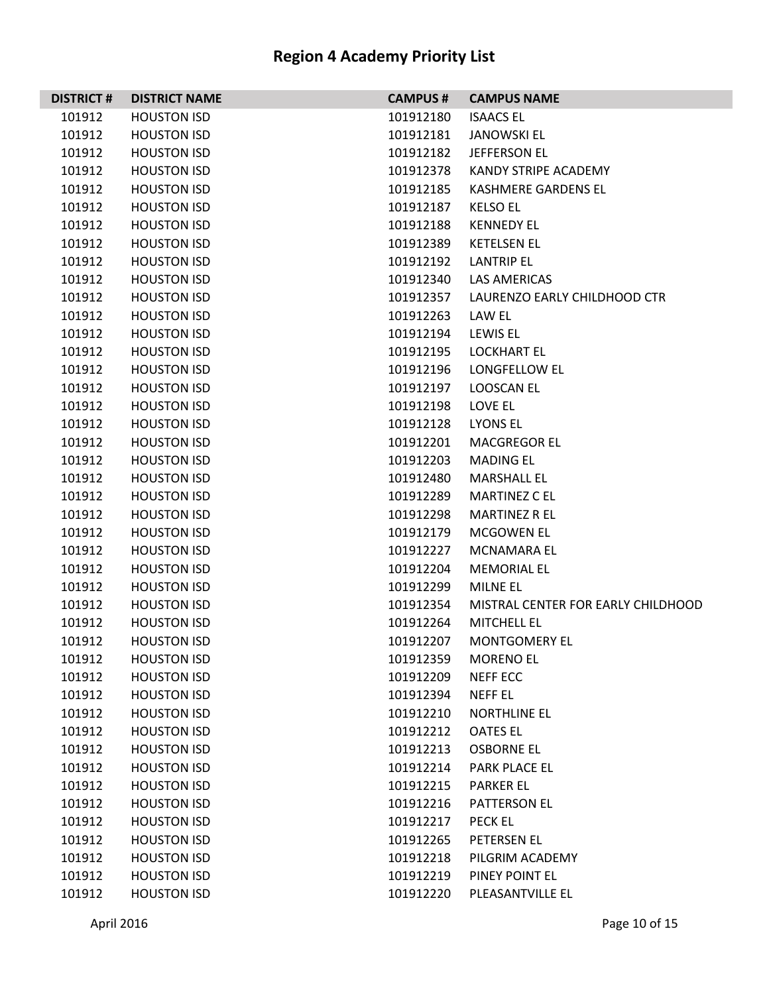| <b>DISTRICT#</b> | <b>DISTRICT NAME</b> | <b>CAMPUS #</b> | <b>CAMPUS NAME</b>                 |
|------------------|----------------------|-----------------|------------------------------------|
| 101912           | <b>HOUSTON ISD</b>   | 101912180       | <b>ISAACS EL</b>                   |
| 101912           | <b>HOUSTON ISD</b>   | 101912181       | <b>JANOWSKI EL</b>                 |
| 101912           | <b>HOUSTON ISD</b>   | 101912182       | <b>JEFFERSON EL</b>                |
| 101912           | <b>HOUSTON ISD</b>   | 101912378       | KANDY STRIPE ACADEMY               |
| 101912           | <b>HOUSTON ISD</b>   | 101912185       | <b>KASHMERE GARDENS EL</b>         |
| 101912           | <b>HOUSTON ISD</b>   | 101912187       | <b>KELSO EL</b>                    |
| 101912           | <b>HOUSTON ISD</b>   | 101912188       | <b>KENNEDY EL</b>                  |
| 101912           | <b>HOUSTON ISD</b>   | 101912389       | <b>KETELSEN EL</b>                 |
| 101912           | <b>HOUSTON ISD</b>   | 101912192       | <b>LANTRIP EL</b>                  |
| 101912           | <b>HOUSTON ISD</b>   | 101912340       | LAS AMERICAS                       |
| 101912           | <b>HOUSTON ISD</b>   | 101912357       | LAURENZO EARLY CHILDHOOD CTR       |
| 101912           | <b>HOUSTON ISD</b>   | 101912263       | LAW EL                             |
| 101912           | <b>HOUSTON ISD</b>   | 101912194       | LEWIS EL                           |
| 101912           | <b>HOUSTON ISD</b>   | 101912195       | <b>LOCKHART EL</b>                 |
| 101912           | <b>HOUSTON ISD</b>   | 101912196       | LONGFELLOW EL                      |
| 101912           | <b>HOUSTON ISD</b>   | 101912197       | <b>LOOSCAN EL</b>                  |
| 101912           | <b>HOUSTON ISD</b>   | 101912198       | LOVE EL                            |
| 101912           | <b>HOUSTON ISD</b>   | 101912128       | <b>LYONS EL</b>                    |
| 101912           | <b>HOUSTON ISD</b>   | 101912201       | <b>MACGREGOR EL</b>                |
| 101912           | <b>HOUSTON ISD</b>   | 101912203       | <b>MADING EL</b>                   |
| 101912           | <b>HOUSTON ISD</b>   | 101912480       | <b>MARSHALL EL</b>                 |
| 101912           | <b>HOUSTON ISD</b>   | 101912289       | <b>MARTINEZ C EL</b>               |
| 101912           | <b>HOUSTON ISD</b>   | 101912298       | <b>MARTINEZ R EL</b>               |
| 101912           | <b>HOUSTON ISD</b>   | 101912179       | MCGOWEN EL                         |
| 101912           | <b>HOUSTON ISD</b>   | 101912227       | <b>MCNAMARA EL</b>                 |
| 101912           | <b>HOUSTON ISD</b>   | 101912204       | <b>MEMORIAL EL</b>                 |
| 101912           | <b>HOUSTON ISD</b>   | 101912299       | MILNE EL                           |
| 101912           | <b>HOUSTON ISD</b>   | 101912354       | MISTRAL CENTER FOR EARLY CHILDHOOD |
| 101912           | <b>HOUSTON ISD</b>   | 101912264       | <b>MITCHELL EL</b>                 |
| 101912           | <b>HOUSTON ISD</b>   | 101912207       | <b>MONTGOMERY EL</b>               |
| 101912           | <b>HOUSTON ISD</b>   | 101912359       | <b>MORENO EL</b>                   |
| 101912           | <b>HOUSTON ISD</b>   | 101912209       | <b>NEFF ECC</b>                    |
| 101912           | <b>HOUSTON ISD</b>   | 101912394       | NEFF EL                            |
| 101912           | <b>HOUSTON ISD</b>   | 101912210       | <b>NORTHLINE EL</b>                |
| 101912           | <b>HOUSTON ISD</b>   | 101912212       | <b>OATES EL</b>                    |
| 101912           | <b>HOUSTON ISD</b>   | 101912213       | <b>OSBORNE EL</b>                  |
| 101912           | <b>HOUSTON ISD</b>   | 101912214       | PARK PLACE EL                      |
| 101912           | <b>HOUSTON ISD</b>   | 101912215       | <b>PARKER EL</b>                   |
| 101912           | <b>HOUSTON ISD</b>   | 101912216       | PATTERSON EL                       |
| 101912           | <b>HOUSTON ISD</b>   | 101912217       | <b>PECK EL</b>                     |
| 101912           | <b>HOUSTON ISD</b>   | 101912265       | PETERSEN EL                        |
| 101912           | <b>HOUSTON ISD</b>   | 101912218       | PILGRIM ACADEMY                    |
| 101912           | <b>HOUSTON ISD</b>   | 101912219       | PINEY POINT EL                     |
| 101912           | <b>HOUSTON ISD</b>   | 101912220       | PLEASANTVILLE EL                   |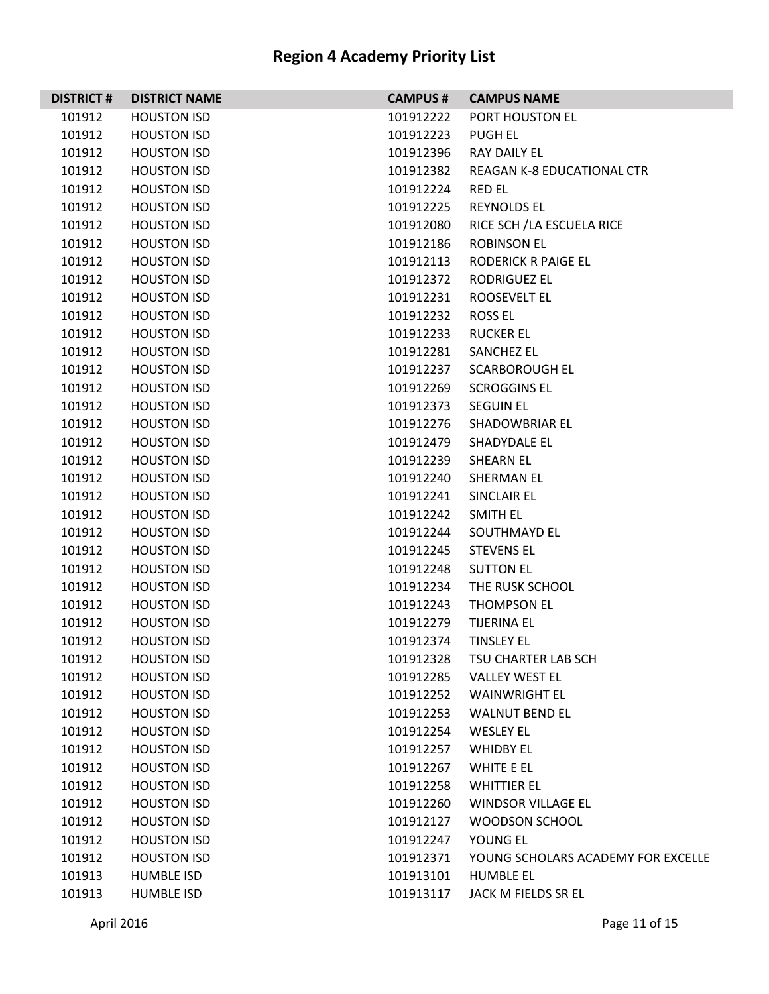| <b>DISTRICT#</b> | <b>DISTRICT NAME</b> | <b>CAMPUS #</b> | <b>CAMPUS NAME</b>                 |
|------------------|----------------------|-----------------|------------------------------------|
| 101912           | <b>HOUSTON ISD</b>   | 101912222       | PORT HOUSTON EL                    |
| 101912           | <b>HOUSTON ISD</b>   | 101912223       | PUGH EL                            |
| 101912           | <b>HOUSTON ISD</b>   | 101912396       | RAY DAILY EL                       |
| 101912           | <b>HOUSTON ISD</b>   | 101912382       | <b>REAGAN K-8 EDUCATIONAL CTR</b>  |
| 101912           | <b>HOUSTON ISD</b>   | 101912224       | <b>RED EL</b>                      |
| 101912           | <b>HOUSTON ISD</b>   | 101912225       | <b>REYNOLDS EL</b>                 |
| 101912           | <b>HOUSTON ISD</b>   | 101912080       | RICE SCH / LA ESCUELA RICE         |
| 101912           | <b>HOUSTON ISD</b>   | 101912186       | <b>ROBINSON EL</b>                 |
| 101912           | <b>HOUSTON ISD</b>   | 101912113       | <b>RODERICK R PAIGE EL</b>         |
| 101912           | <b>HOUSTON ISD</b>   | 101912372       | <b>RODRIGUEZ EL</b>                |
| 101912           | <b>HOUSTON ISD</b>   | 101912231       | <b>ROOSEVELT EL</b>                |
| 101912           | <b>HOUSTON ISD</b>   | 101912232       | <b>ROSS EL</b>                     |
| 101912           | <b>HOUSTON ISD</b>   | 101912233       | <b>RUCKER EL</b>                   |
| 101912           | <b>HOUSTON ISD</b>   | 101912281       | <b>SANCHEZ EL</b>                  |
| 101912           | <b>HOUSTON ISD</b>   | 101912237       | <b>SCARBOROUGH EL</b>              |
| 101912           | <b>HOUSTON ISD</b>   | 101912269       | <b>SCROGGINS EL</b>                |
| 101912           | <b>HOUSTON ISD</b>   | 101912373       | <b>SEGUIN EL</b>                   |
| 101912           | <b>HOUSTON ISD</b>   | 101912276       | SHADOWBRIAR EL                     |
| 101912           | <b>HOUSTON ISD</b>   | 101912479       | SHADYDALE EL                       |
| 101912           | <b>HOUSTON ISD</b>   | 101912239       | <b>SHEARN EL</b>                   |
| 101912           | <b>HOUSTON ISD</b>   | 101912240       | SHERMAN EL                         |
| 101912           | <b>HOUSTON ISD</b>   | 101912241       | SINCLAIR EL                        |
| 101912           | <b>HOUSTON ISD</b>   | 101912242       | SMITH EL                           |
| 101912           | <b>HOUSTON ISD</b>   | 101912244       | SOUTHMAYD EL                       |
| 101912           | <b>HOUSTON ISD</b>   | 101912245       | <b>STEVENS EL</b>                  |
| 101912           | <b>HOUSTON ISD</b>   | 101912248       | <b>SUTTON EL</b>                   |
| 101912           | <b>HOUSTON ISD</b>   | 101912234       | THE RUSK SCHOOL                    |
| 101912           | <b>HOUSTON ISD</b>   | 101912243       | <b>THOMPSON EL</b>                 |
| 101912           | <b>HOUSTON ISD</b>   | 101912279       | <b>TIJERINA EL</b>                 |
| 101912           | <b>HOUSTON ISD</b>   | 101912374       | <b>TINSLEY EL</b>                  |
| 101912           | <b>HOUSTON ISD</b>   | 101912328       | TSU CHARTER LAB SCH                |
| 101912           | <b>HOUSTON ISD</b>   | 101912285       | <b>VALLEY WEST EL</b>              |
| 101912           | <b>HOUSTON ISD</b>   | 101912252       | <b>WAINWRIGHT EL</b>               |
| 101912           | <b>HOUSTON ISD</b>   | 101912253       | <b>WALNUT BEND EL</b>              |
| 101912           | <b>HOUSTON ISD</b>   | 101912254       | <b>WESLEY EL</b>                   |
| 101912           | <b>HOUSTON ISD</b>   | 101912257       | <b>WHIDBY EL</b>                   |
| 101912           | <b>HOUSTON ISD</b>   | 101912267       | WHITE E EL                         |
| 101912           | <b>HOUSTON ISD</b>   | 101912258       | <b>WHITTIER EL</b>                 |
| 101912           | <b>HOUSTON ISD</b>   | 101912260       | <b>WINDSOR VILLAGE EL</b>          |
| 101912           | <b>HOUSTON ISD</b>   | 101912127       | WOODSON SCHOOL                     |
| 101912           | <b>HOUSTON ISD</b>   | 101912247       | YOUNG EL                           |
| 101912           | <b>HOUSTON ISD</b>   | 101912371       | YOUNG SCHOLARS ACADEMY FOR EXCELLE |
| 101913           | <b>HUMBLE ISD</b>    | 101913101       | <b>HUMBLE EL</b>                   |
| 101913           | <b>HUMBLE ISD</b>    | 101913117       | JACK M FIELDS SR EL                |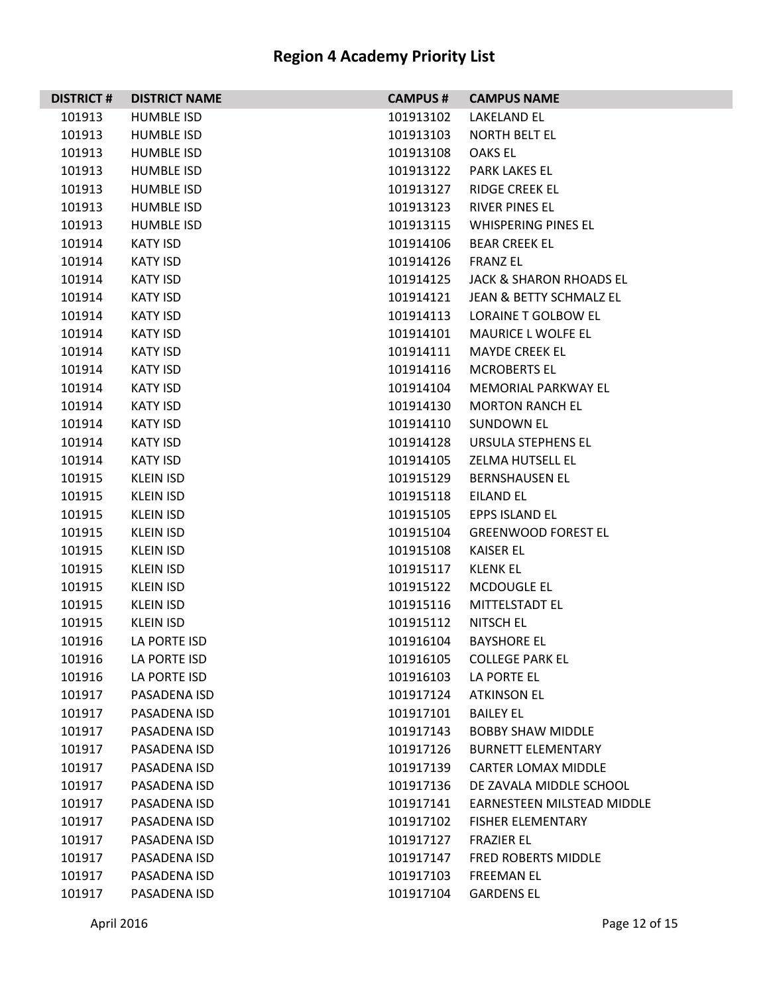| <b>DISTRICT#</b> | <b>DISTRICT NAME</b> | <b>CAMPUS#</b> | <b>CAMPUS NAME</b>                 |
|------------------|----------------------|----------------|------------------------------------|
| 101913           | <b>HUMBLE ISD</b>    | 101913102      | LAKELAND EL                        |
| 101913           | <b>HUMBLE ISD</b>    | 101913103      | <b>NORTH BELT EL</b>               |
| 101913           | <b>HUMBLE ISD</b>    | 101913108      | <b>OAKS EL</b>                     |
| 101913           | <b>HUMBLE ISD</b>    | 101913122      | <b>PARK LAKES EL</b>               |
| 101913           | <b>HUMBLE ISD</b>    | 101913127      | <b>RIDGE CREEK EL</b>              |
| 101913           | <b>HUMBLE ISD</b>    | 101913123      | <b>RIVER PINES EL</b>              |
| 101913           | <b>HUMBLE ISD</b>    | 101913115      | <b>WHISPERING PINES EL</b>         |
| 101914           | <b>KATY ISD</b>      | 101914106      | <b>BEAR CREEK EL</b>               |
| 101914           | <b>KATY ISD</b>      | 101914126      | <b>FRANZ EL</b>                    |
| 101914           | KATY ISD             | 101914125      | <b>JACK &amp; SHARON RHOADS EL</b> |
| 101914           | KATY ISD             | 101914121      | <b>JEAN &amp; BETTY SCHMALZ EL</b> |
| 101914           | KATY ISD             | 101914113      | LORAINE T GOLBOW EL                |
| 101914           | <b>KATY ISD</b>      | 101914101      | <b>MAURICE L WOLFE EL</b>          |
| 101914           | <b>KATY ISD</b>      | 101914111      | <b>MAYDE CREEK EL</b>              |
| 101914           | KATY ISD             | 101914116      | <b>MCROBERTS EL</b>                |
| 101914           | KATY ISD             | 101914104      | MEMORIAL PARKWAY EL                |
| 101914           | KATY ISD             | 101914130      | <b>MORTON RANCH EL</b>             |
| 101914           | <b>KATY ISD</b>      | 101914110      | <b>SUNDOWN EL</b>                  |
| 101914           | <b>KATY ISD</b>      | 101914128      | URSULA STEPHENS EL                 |
| 101914           | KATY ISD             | 101914105      | ZELMA HUTSELL EL                   |
| 101915           | KLEIN ISD            | 101915129      | <b>BERNSHAUSEN EL</b>              |
| 101915           | KLEIN ISD            | 101915118      | <b>EILAND EL</b>                   |
| 101915           | <b>KLEIN ISD</b>     | 101915105      | EPPS ISLAND EL                     |
| 101915           | <b>KLEIN ISD</b>     | 101915104      | <b>GREENWOOD FOREST EL</b>         |
| 101915           | KLEIN ISD            | 101915108      | <b>KAISER EL</b>                   |
| 101915           | <b>KLEIN ISD</b>     | 101915117      | <b>KLENK EL</b>                    |
| 101915           | <b>KLEIN ISD</b>     | 101915122      | <b>MCDOUGLE EL</b>                 |
| 101915           | <b>KLEIN ISD</b>     | 101915116      | MITTELSTADT EL                     |
| 101915           | KLEIN ISD            | 101915112      | NITSCH EL                          |
| 101916           | LA PORTE ISD         | 101916104      | <b>BAYSHORE EL</b>                 |
| 101916           | LA PORTE ISD         | 101916105      | <b>COLLEGE PARK EL</b>             |
| 101916           | LA PORTE ISD         | 101916103      | LA PORTE EL                        |
| 101917           | PASADENA ISD         | 101917124      | <b>ATKINSON EL</b>                 |
| 101917           | PASADENA ISD         | 101917101      | <b>BAILEY EL</b>                   |
| 101917           | PASADENA ISD         | 101917143      | <b>BOBBY SHAW MIDDLE</b>           |
| 101917           | PASADENA ISD         | 101917126      | <b>BURNETT ELEMENTARY</b>          |
| 101917           | PASADENA ISD         | 101917139      | <b>CARTER LOMAX MIDDLE</b>         |
| 101917           | PASADENA ISD         | 101917136      | DE ZAVALA MIDDLE SCHOOL            |
| 101917           | PASADENA ISD         | 101917141      | <b>EARNESTEEN MILSTEAD MIDDLE</b>  |
| 101917           | PASADENA ISD         | 101917102      | <b>FISHER ELEMENTARY</b>           |
| 101917           | PASADENA ISD         | 101917127      | <b>FRAZIER EL</b>                  |
| 101917           | PASADENA ISD         | 101917147      | FRED ROBERTS MIDDLE                |
| 101917           | PASADENA ISD         | 101917103      | <b>FREEMAN EL</b>                  |
| 101917           | PASADENA ISD         | 101917104      | <b>GARDENS EL</b>                  |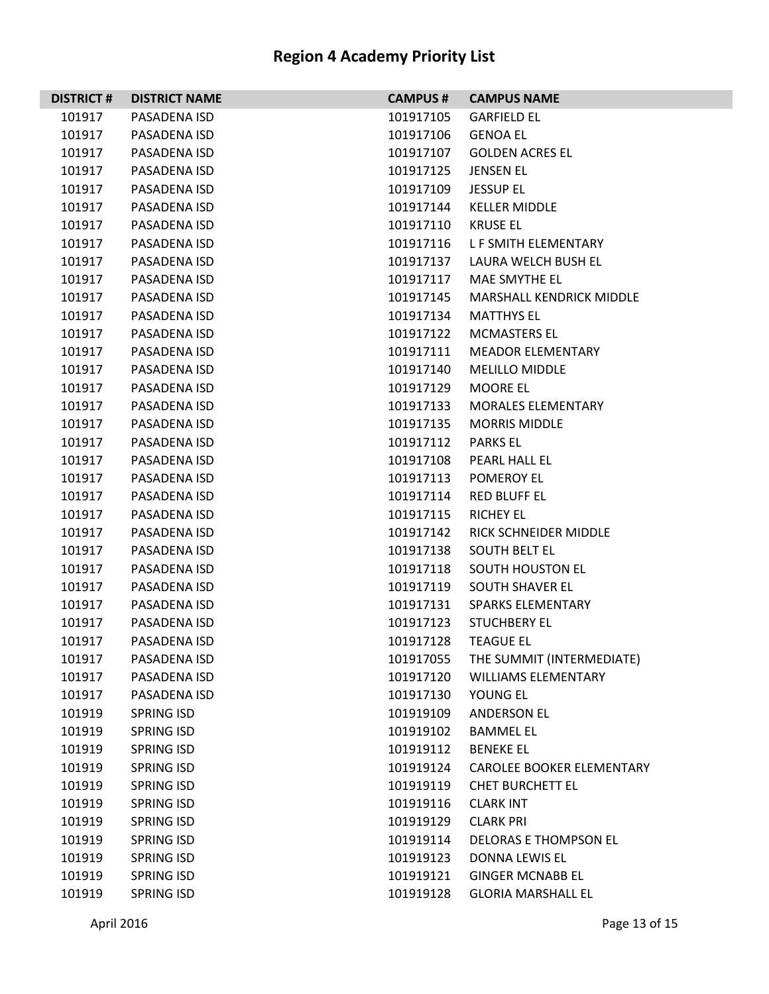| <b>DISTRICT#</b> | <b>DISTRICT NAME</b> | <b>CAMPUS#</b> | <b>CAMPUS NAME</b>               |
|------------------|----------------------|----------------|----------------------------------|
| 101917           | PASADENA ISD         | 101917105      | <b>GARFIELD EL</b>               |
| 101917           | PASADENA ISD         | 101917106      | <b>GENOA EL</b>                  |
| 101917           | PASADENA ISD         | 101917107      | <b>GOLDEN ACRES EL</b>           |
| 101917           | PASADENA ISD         | 101917125      | <b>JENSEN EL</b>                 |
| 101917           | PASADENA ISD         | 101917109      | <b>JESSUP EL</b>                 |
| 101917           | PASADENA ISD         | 101917144      | <b>KELLER MIDDLE</b>             |
| 101917           | PASADENA ISD         | 101917110      | <b>KRUSE EL</b>                  |
| 101917           | PASADENA ISD         | 101917116      | L F SMITH ELEMENTARY             |
| 101917           | PASADENA ISD         | 101917137      | LAURA WELCH BUSH EL              |
| 101917           | PASADENA ISD         | 101917117      | MAE SMYTHE EL                    |
| 101917           | PASADENA ISD         | 101917145      | <b>MARSHALL KENDRICK MIDDLE</b>  |
| 101917           | PASADENA ISD         | 101917134      | <b>MATTHYS EL</b>                |
| 101917           | PASADENA ISD         | 101917122      | <b>MCMASTERS EL</b>              |
| 101917           | PASADENA ISD         | 101917111      | <b>MEADOR ELEMENTARY</b>         |
| 101917           | PASADENA ISD         | 101917140      | <b>MELILLO MIDDLE</b>            |
| 101917           | PASADENA ISD         | 101917129      | MOORE EL                         |
| 101917           | PASADENA ISD         | 101917133      | <b>MORALES ELEMENTARY</b>        |
| 101917           | PASADENA ISD         | 101917135      | <b>MORRIS MIDDLE</b>             |
| 101917           | PASADENA ISD         | 101917112      | <b>PARKS EL</b>                  |
| 101917           | PASADENA ISD         | 101917108      | PEARL HALL EL                    |
| 101917           | PASADENA ISD         | 101917113      | POMEROY EL                       |
| 101917           | PASADENA ISD         | 101917114      | <b>RED BLUFF EL</b>              |
| 101917           | PASADENA ISD         | 101917115      | <b>RICHEY EL</b>                 |
| 101917           | PASADENA ISD         | 101917142      | RICK SCHNEIDER MIDDLE            |
| 101917           | PASADENA ISD         | 101917138      | <b>SOUTH BELT EL</b>             |
| 101917           | PASADENA ISD         | 101917118      | <b>SOUTH HOUSTON EL</b>          |
| 101917           | PASADENA ISD         | 101917119      | <b>SOUTH SHAVER EL</b>           |
| 101917           | PASADENA ISD         | 101917131      | <b>SPARKS ELEMENTARY</b>         |
| 101917           | PASADENA ISD         | 101917123      | <b>STUCHBERY EL</b>              |
| 101917           | PASADENA ISD         | 101917128      | <b>TEAGUE EL</b>                 |
| 101917           | PASADENA ISD         | 101917055      | THE SUMMIT (INTERMEDIATE)        |
| 101917           | PASADENA ISD         | 101917120      | <b>WILLIAMS ELEMENTARY</b>       |
| 101917           | PASADENA ISD         | 101917130      | YOUNG EL                         |
| 101919           | <b>SPRING ISD</b>    | 101919109      | <b>ANDERSON EL</b>               |
| 101919           | <b>SPRING ISD</b>    | 101919102      | <b>BAMMEL EL</b>                 |
| 101919           | <b>SPRING ISD</b>    | 101919112      | <b>BENEKE EL</b>                 |
| 101919           | <b>SPRING ISD</b>    | 101919124      | <b>CAROLEE BOOKER ELEMENTARY</b> |
| 101919           | <b>SPRING ISD</b>    | 101919119      | <b>CHET BURCHETT EL</b>          |
| 101919           | <b>SPRING ISD</b>    | 101919116      | <b>CLARK INT</b>                 |
| 101919           | <b>SPRING ISD</b>    | 101919129      | <b>CLARK PRI</b>                 |
| 101919           | <b>SPRING ISD</b>    | 101919114      | <b>DELORAS E THOMPSON EL</b>     |
| 101919           | <b>SPRING ISD</b>    | 101919123      | DONNA LEWIS EL                   |
| 101919           | <b>SPRING ISD</b>    | 101919121      | <b>GINGER MCNABB EL</b>          |
| 101919           | <b>SPRING ISD</b>    | 101919128      | <b>GLORIA MARSHALL EL</b>        |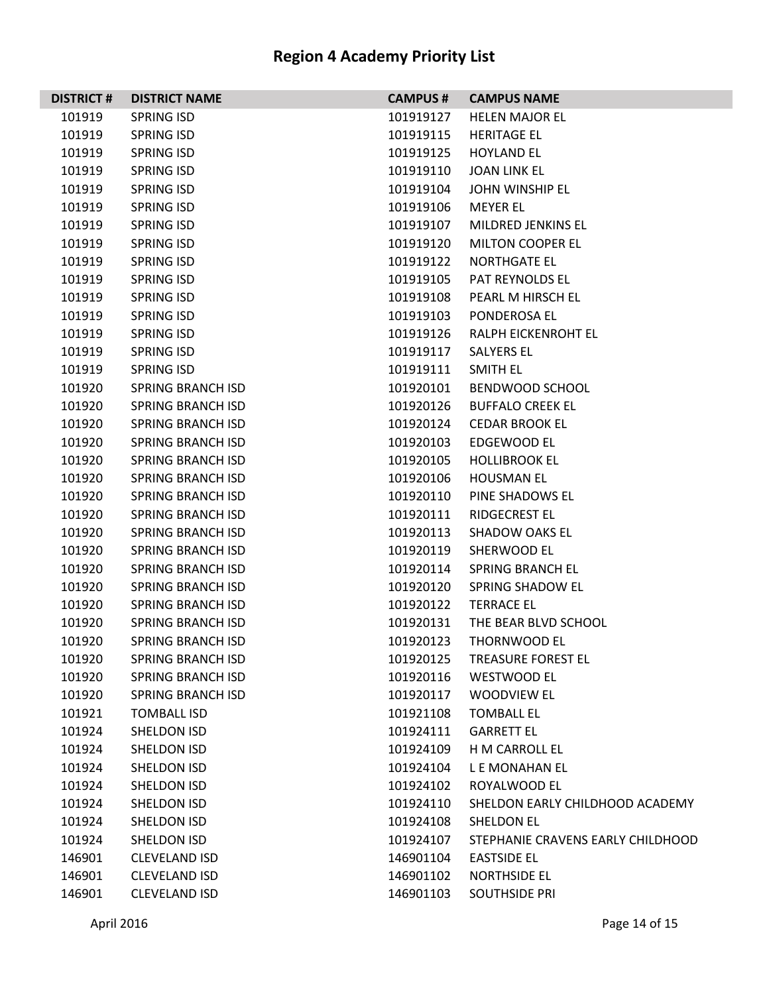| <b>DISTRICT#</b> | <b>DISTRICT NAME</b>     | <b>CAMPUS#</b> | <b>CAMPUS NAME</b>                |
|------------------|--------------------------|----------------|-----------------------------------|
| 101919           | <b>SPRING ISD</b>        | 101919127      | <b>HELEN MAJOR EL</b>             |
| 101919           | <b>SPRING ISD</b>        | 101919115      | <b>HERITAGE EL</b>                |
| 101919           | <b>SPRING ISD</b>        | 101919125      | <b>HOYLAND EL</b>                 |
| 101919           | <b>SPRING ISD</b>        | 101919110      | <b>JOAN LINK EL</b>               |
| 101919           | SPRING ISD               | 101919104      | JOHN WINSHIP EL                   |
| 101919           | <b>SPRING ISD</b>        | 101919106      | <b>MEYER EL</b>                   |
| 101919           | <b>SPRING ISD</b>        | 101919107      | MILDRED JENKINS EL                |
| 101919           | <b>SPRING ISD</b>        | 101919120      | <b>MILTON COOPER EL</b>           |
| 101919           | SPRING ISD               | 101919122      | <b>NORTHGATE EL</b>               |
| 101919           | SPRING ISD               | 101919105      | PAT REYNOLDS EL                   |
| 101919           | <b>SPRING ISD</b>        | 101919108      | PEARL M HIRSCH EL                 |
| 101919           | SPRING ISD               | 101919103      | PONDEROSA EL                      |
| 101919           | <b>SPRING ISD</b>        | 101919126      | RALPH EICKENROHT EL               |
| 101919           | SPRING ISD               | 101919117      | SALYERS EL                        |
| 101919           | <b>SPRING ISD</b>        | 101919111      | SMITH EL                          |
| 101920           | <b>SPRING BRANCH ISD</b> | 101920101      | BENDWOOD SCHOOL                   |
| 101920           | <b>SPRING BRANCH ISD</b> | 101920126      | <b>BUFFALO CREEK EL</b>           |
| 101920           | <b>SPRING BRANCH ISD</b> | 101920124      | <b>CEDAR BROOK EL</b>             |
| 101920           | <b>SPRING BRANCH ISD</b> | 101920103      | <b>EDGEWOOD EL</b>                |
| 101920           | <b>SPRING BRANCH ISD</b> | 101920105      | <b>HOLLIBROOK EL</b>              |
| 101920           | <b>SPRING BRANCH ISD</b> | 101920106      | <b>HOUSMAN EL</b>                 |
| 101920           | SPRING BRANCH ISD        | 101920110      | PINE SHADOWS EL                   |
| 101920           | <b>SPRING BRANCH ISD</b> | 101920111      | <b>RIDGECREST EL</b>              |
| 101920           | <b>SPRING BRANCH ISD</b> | 101920113      | SHADOW OAKS EL                    |
| 101920           | <b>SPRING BRANCH ISD</b> | 101920119      | SHERWOOD EL                       |
| 101920           | <b>SPRING BRANCH ISD</b> | 101920114      | <b>SPRING BRANCH EL</b>           |
| 101920           | <b>SPRING BRANCH ISD</b> | 101920120      | SPRING SHADOW EL                  |
| 101920           | <b>SPRING BRANCH ISD</b> | 101920122      | <b>TERRACE EL</b>                 |
| 101920           | <b>SPRING BRANCH ISD</b> | 101920131      | THE BEAR BLVD SCHOOL              |
| 101920           | <b>SPRING BRANCH ISD</b> | 101920123      | THORNWOOD EL                      |
| 101920           | SPRING BRANCH ISD        | 101920125      | TREASURE FOREST EL                |
| 101920           | <b>SPRING BRANCH ISD</b> | 101920116      | <b>WESTWOOD EL</b>                |
| 101920           | <b>SPRING BRANCH ISD</b> | 101920117      | <b>WOODVIEW EL</b>                |
| 101921           | <b>TOMBALL ISD</b>       | 101921108      | <b>TOMBALL EL</b>                 |
| 101924           | SHELDON ISD              | 101924111      | <b>GARRETT EL</b>                 |
| 101924           | <b>SHELDON ISD</b>       | 101924109      | H M CARROLL EL                    |
| 101924           | <b>SHELDON ISD</b>       | 101924104      | L E MONAHAN EL                    |
| 101924           | <b>SHELDON ISD</b>       | 101924102      | ROYALWOOD EL                      |
| 101924           | SHELDON ISD              | 101924110      | SHELDON EARLY CHILDHOOD ACADEMY   |
| 101924           | SHELDON ISD              | 101924108      | SHELDON EL                        |
| 101924           | SHELDON ISD              | 101924107      | STEPHANIE CRAVENS EARLY CHILDHOOD |
| 146901           | <b>CLEVELAND ISD</b>     | 146901104      | <b>EASTSIDE EL</b>                |
| 146901           | <b>CLEVELAND ISD</b>     | 146901102      | <b>NORTHSIDE EL</b>               |
| 146901           | <b>CLEVELAND ISD</b>     | 146901103      | <b>SOUTHSIDE PRI</b>              |

L